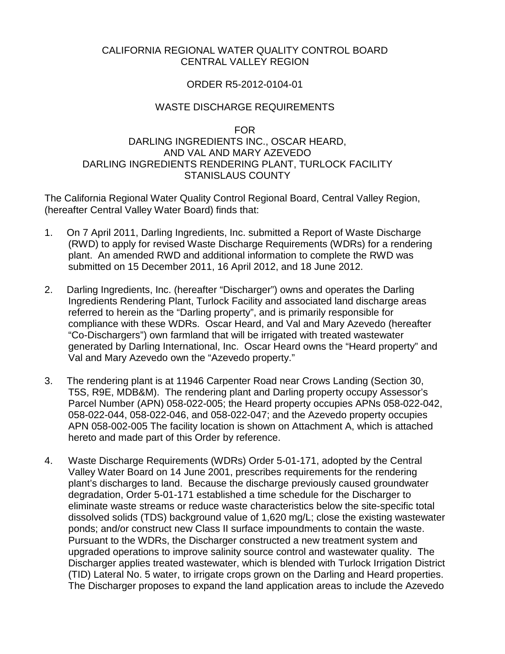#### CALIFORNIA REGIONAL WATER QUALITY CONTROL BOARD CENTRAL VALLEY REGION

#### ORDER R5-2012-0104-01

#### WASTE DISCHARGE REQUIREMENTS

#### FOR

## DARLING INGREDIENTS INC., OSCAR HEARD, AND VAL AND MARY AZEVEDO DARLING INGREDIENTS RENDERING PLANT, TURLOCK FACILITY STANISLAUS COUNTY

The California Regional Water Quality Control Regional Board, Central Valley Region, (hereafter Central Valley Water Board) finds that:

- 1. On 7 April 2011, Darling Ingredients, Inc. submitted a Report of Waste Discharge (RWD) to apply for revised Waste Discharge Requirements (WDRs) for a rendering plant. An amended RWD and additional information to complete the RWD was submitted on 15 December 2011, 16 April 2012, and 18 June 2012.
- 2. Darling Ingredients, Inc. (hereafter "Discharger") owns and operates the Darling Ingredients Rendering Plant, Turlock Facility and associated land discharge areas referred to herein as the "Darling property", and is primarily responsible for compliance with these WDRs. Oscar Heard, and Val and Mary Azevedo (hereafter "Co-Dischargers") own farmland that will be irrigated with treated wastewater generated by Darling International, Inc. Oscar Heard owns the "Heard property" and Val and Mary Azevedo own the "Azevedo property."
- 3. The rendering plant is at 11946 Carpenter Road near Crows Landing (Section 30, T5S, R9E, MDB&M). The rendering plant and Darling property occupy Assessor's Parcel Number (APN) 058-022-005; the Heard property occupies APNs 058-022-042, 058-022-044, 058-022-046, and 058-022-047; and the Azevedo property occupies APN 058-002-005 The facility location is shown on Attachment A, which is attached hereto and made part of this Order by reference.
- 4. Waste Discharge Requirements (WDRs) Order 5-01-171, adopted by the Central Valley Water Board on 14 June 2001, prescribes requirements for the rendering plant's discharges to land. Because the discharge previously caused groundwater degradation, Order 5-01-171 established a time schedule for the Discharger to eliminate waste streams or reduce waste characteristics below the site-specific total dissolved solids (TDS) background value of 1,620 mg/L; close the existing wastewater ponds; and/or construct new Class II surface impoundments to contain the waste. Pursuant to the WDRs, the Discharger constructed a new treatment system and upgraded operations to improve salinity source control and wastewater quality. The Discharger applies treated wastewater, which is blended with Turlock Irrigation District (TID) Lateral No. 5 water, to irrigate crops grown on the Darling and Heard properties. The Discharger proposes to expand the land application areas to include the Azevedo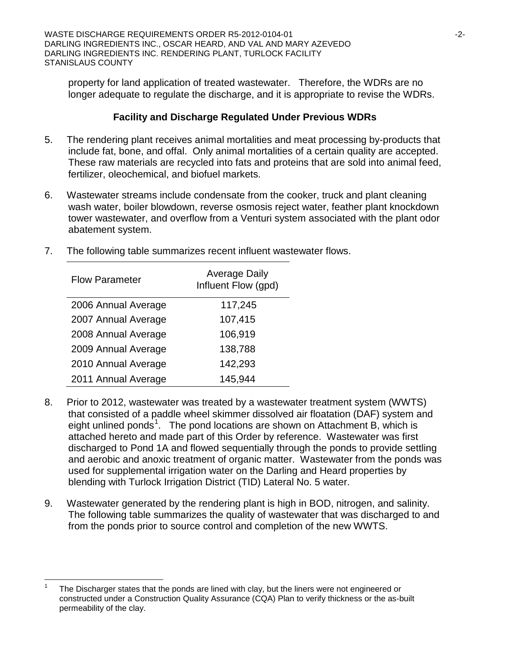property for land application of treated wastewater. Therefore, the WDRs are no longer adequate to regulate the discharge, and it is appropriate to revise the WDRs.

# **Facility and Discharge Regulated Under Previous WDRs**

- 5. The rendering plant receives animal mortalities and meat processing by-products that include fat, bone, and offal. Only animal mortalities of a certain quality are accepted. These raw materials are recycled into fats and proteins that are sold into animal feed, fertilizer, oleochemical, and biofuel markets.
- 6. Wastewater streams include condensate from the cooker, truck and plant cleaning wash water, boiler blowdown, reverse osmosis reject water, feather plant knockdown tower wastewater, and overflow from a Venturi system associated with the plant odor abatement system.
- 7. The following table summarizes recent influent wastewater flows.

| <b>Flow Parameter</b> | <b>Average Daily</b><br>Influent Flow (gpd) |
|-----------------------|---------------------------------------------|
| 2006 Annual Average   | 117,245                                     |
| 2007 Annual Average   | 107,415                                     |
| 2008 Annual Average   | 106,919                                     |
| 2009 Annual Average   | 138,788                                     |
| 2010 Annual Average   | 142,293                                     |
| 2011 Annual Average   | 145,944                                     |

- 8. Prior to 2012, wastewater was treated by a wastewater treatment system (WWTS) that consisted of a paddle wheel skimmer dissolved air floatation (DAF) system and eight unlined ponds<sup>[1](#page-1-0)</sup>. The pond locations are shown on Attachment B, which is attached hereto and made part of this Order by reference. Wastewater was first discharged to Pond 1A and flowed sequentially through the ponds to provide settling and aerobic and anoxic treatment of organic matter. Wastewater from the ponds was used for supplemental irrigation water on the Darling and Heard properties by blending with Turlock Irrigation District (TID) Lateral No. 5 water.
- 9. Wastewater generated by the rendering plant is high in BOD, nitrogen, and salinity. The following table summarizes the quality of wastewater that was discharged to and from the ponds prior to source control and completion of the new WWTS.

<span id="page-1-0"></span>The Discharger states that the ponds are lined with clay, but the liners were not engineered or constructed under a Construction Quality Assurance (CQA) Plan to verify thickness or the as-built permeability of the clay.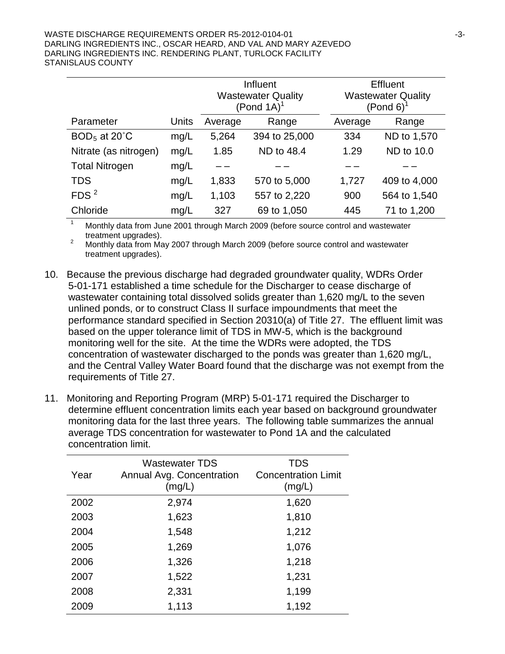|                       |       | Influent<br><b>Wastewater Quality</b><br>$($ Pond 1A $)^1$ |               |         | Effluent<br><b>Wastewater Quality</b><br>$($ Pond 6) <sup>1</sup> |
|-----------------------|-------|------------------------------------------------------------|---------------|---------|-------------------------------------------------------------------|
| Parameter             | Units | Average                                                    | Range         | Average | Range                                                             |
| $BOD5$ at 20°C        | mg/L  | 5,264                                                      | 394 to 25,000 | 334     | ND to 1,570                                                       |
| Nitrate (as nitrogen) | mg/L  | 1.85                                                       | ND to 48.4    | 1.29    | ND to 10.0                                                        |
| <b>Total Nitrogen</b> | mg/L  |                                                            |               |         |                                                                   |
| <b>TDS</b>            | mg/L  | 1,833                                                      | 570 to 5,000  | 1,727   | 409 to 4,000                                                      |
| FDS <sup>2</sup>      | mg/L  | 1,103                                                      | 557 to 2,220  | 900     | 564 to 1,540                                                      |
| Chloride              | mg/L  | 327                                                        | 69 to 1,050   | 445     | 71 to 1,200                                                       |

<sup>1</sup> Monthly data from June 2001 through March 2009 (before source control and wastewater treatment upgrades).<br><sup>2</sup> Monthly data from May 2007 through March 2009 (before source control and wastewater

treatment upgrades).

- 10. Because the previous discharge had degraded groundwater quality, WDRs Order 5-01-171 established a time schedule for the Discharger to cease discharge of wastewater containing total dissolved solids greater than 1,620 mg/L to the seven unlined ponds, or to construct Class II surface impoundments that meet the performance standard specified in Section 20310(a) of Title 27. The effluent limit was based on the upper tolerance limit of TDS in MW-5, which is the background monitoring well for the site. At the time the WDRs were adopted, the TDS concentration of wastewater discharged to the ponds was greater than 1,620 mg/L, and the Central Valley Water Board found that the discharge was not exempt from the requirements of Title 27.
- 11. Monitoring and Reporting Program (MRP) 5-01-171 required the Discharger to determine effluent concentration limits each year based on background groundwater monitoring data for the last three years. The following table summarizes the annual average TDS concentration for wastewater to Pond 1A and the calculated concentration limit.

| Year | <b>Wastewater TDS</b><br>Annual Avg. Concentration<br>(mg/L) | <b>TDS</b><br><b>Concentration Limit</b><br>(mg/L) |
|------|--------------------------------------------------------------|----------------------------------------------------|
| 2002 | 2,974                                                        | 1,620                                              |
| 2003 | 1,623                                                        | 1,810                                              |
| 2004 | 1,548                                                        | 1,212                                              |
| 2005 | 1,269                                                        | 1,076                                              |
| 2006 | 1,326                                                        | 1,218                                              |
| 2007 | 1,522                                                        | 1,231                                              |
| 2008 | 2,331                                                        | 1,199                                              |
| 2009 | 1,113                                                        | 1,192                                              |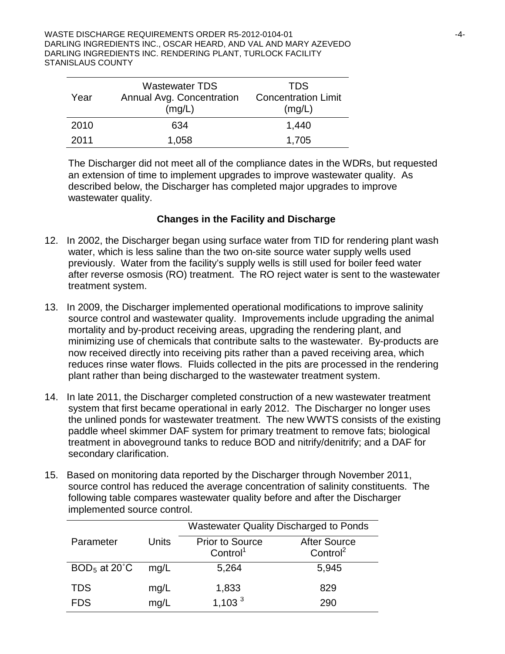| Year | <b>Wastewater TDS</b><br>Annual Avg. Concentration<br>(mg/L) | <b>TDS</b><br><b>Concentration Limit</b><br>(mg/L) |
|------|--------------------------------------------------------------|----------------------------------------------------|
| 2010 | 634                                                          | 1,440                                              |
| 2011 | 1,058                                                        | 1,705                                              |

The Discharger did not meet all of the compliance dates in the WDRs, but requested an extension of time to implement upgrades to improve wastewater quality. As described below, the Discharger has completed major upgrades to improve wastewater quality.

#### **Changes in the Facility and Discharge**

- 12. In 2002, the Discharger began using surface water from TID for rendering plant wash water, which is less saline than the two on-site source water supply wells used previously. Water from the facility's supply wells is still used for boiler feed water after reverse osmosis (RO) treatment. The RO reject water is sent to the wastewater treatment system.
- 13. In 2009, the Discharger implemented operational modifications to improve salinity source control and wastewater quality. Improvements include upgrading the animal mortality and by-product receiving areas, upgrading the rendering plant, and minimizing use of chemicals that contribute salts to the wastewater. By-products are now received directly into receiving pits rather than a paved receiving area, which reduces rinse water flows. Fluids collected in the pits are processed in the rendering plant rather than being discharged to the wastewater treatment system.
- 14. In late 2011, the Discharger completed construction of a new wastewater treatment system that first became operational in early 2012. The Discharger no longer uses the unlined ponds for wastewater treatment. The new WWTS consists of the existing paddle wheel skimmer DAF system for primary treatment to remove fats; biological treatment in aboveground tanks to reduce BOD and nitrify/denitrify; and a DAF for secondary clarification.
- 15. Based on monitoring data reported by the Discharger through November 2011, source control has reduced the average concentration of salinity constituents. The following table compares wastewater quality before and after the Discharger implemented source control.

|                |       | <b>Wastewater Quality Discharged to Ponds</b> |                      |  |
|----------------|-------|-----------------------------------------------|----------------------|--|
| Parameter      | Units | <b>Prior to Source</b>                        | <b>After Source</b>  |  |
|                |       | Control <sup>1</sup>                          | Control <sup>2</sup> |  |
| $BOD5$ at 20°C | mq/L  | 5,264                                         | 5,945                |  |
| <b>TDS</b>     | mg/L  | 1,833                                         | 829                  |  |
| <b>FDS</b>     | mg/L  | 1,103 <sup>3</sup>                            | 290                  |  |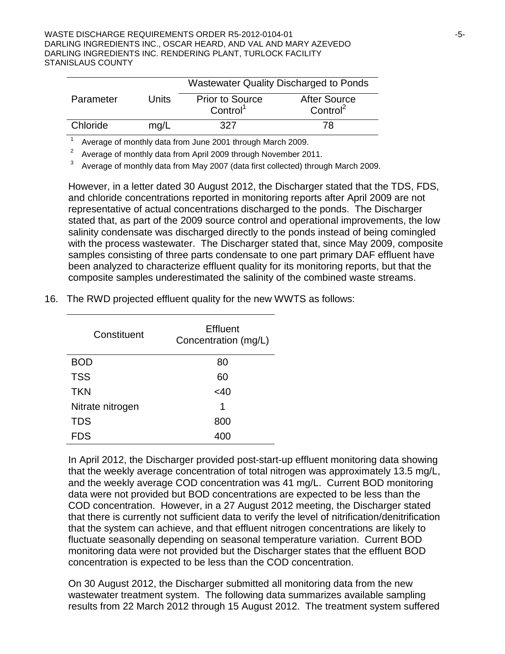|           |       | <b>Wastewater Quality Discharged to Ponds</b> |                      |  |
|-----------|-------|-----------------------------------------------|----------------------|--|
| Parameter | Units | <b>Prior to Source</b>                        | <b>After Source</b>  |  |
|           |       | Control <sup>1</sup>                          | Control <sup>2</sup> |  |
| Chloride  | mq/L  | 327                                           | 78                   |  |

<sup>1</sup> Average of monthly data from June 2001 through March 2009.

<sup>2</sup> Average of monthly data from April 2009 through November 2011.

<sup>3</sup> Average of monthly data from May 2007 (data first collected) through March 2009.

However, in a letter dated 30 August 2012, the Discharger stated that the TDS, FDS, and chloride concentrations reported in monitoring reports after April 2009 are not representative of actual concentrations discharged to the ponds. The Discharger stated that, as part of the 2009 source control and operational improvements, the low salinity condensate was discharged directly to the ponds instead of being comingled with the process wastewater. The Discharger stated that, since May 2009, composite samples consisting of three parts condensate to one part primary DAF effluent have been analyzed to characterize effluent quality for its monitoring reports, but that the composite samples underestimated the salinity of the combined waste streams.

| Constituent      | <b>Effluent</b><br>Concentration (mg/L) |  |  |
|------------------|-----------------------------------------|--|--|
| BOD              | 80                                      |  |  |
| <b>TSS</b>       | 60                                      |  |  |
| <b>TKN</b>       | $<$ 40                                  |  |  |
| Nitrate nitrogen | 1                                       |  |  |
| <b>TDS</b>       | 800                                     |  |  |
| DS               |                                         |  |  |

16. The RWD projected effluent quality for the new WWTS as follows:

In April 2012, the Discharger provided post-start-up effluent monitoring data showing that the weekly average concentration of total nitrogen was approximately 13.5 mg/L, and the weekly average COD concentration was 41 mg/L. Current BOD monitoring data were not provided but BOD concentrations are expected to be less than the COD concentration. However, in a 27 August 2012 meeting, the Discharger stated that there is currently not sufficient data to verify the level of nitrification/denitrification that the system can achieve, and that effluent nitrogen concentrations are likely to fluctuate seasonally depending on seasonal temperature variation. Current BOD monitoring data were not provided but the Discharger states that the effluent BOD concentration is expected to be less than the COD concentration.

On 30 August 2012, the Discharger submitted all monitoring data from the new wastewater treatment system. The following data summarizes available sampling results from 22 March 2012 through 15 August 2012. The treatment system suffered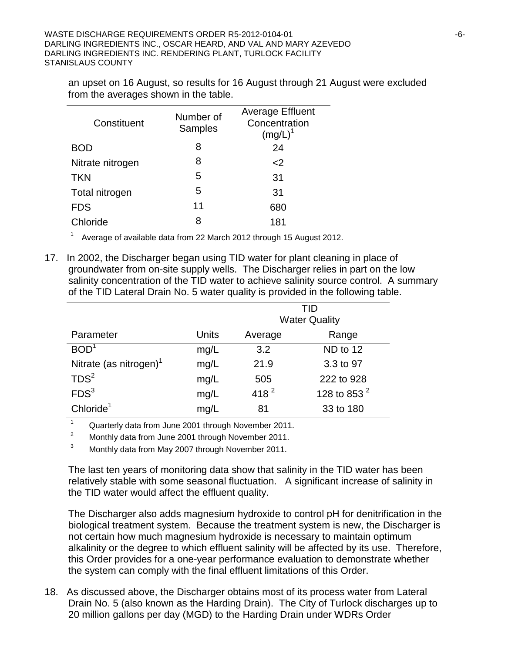an upset on 16 August, so results for 16 August through 21 August were excluded from the averages shown in the table.

| Constituent      | Number of<br>Samples | <b>Average Effluent</b><br>Concentration<br>$(mg/L)^{1}$ |
|------------------|----------------------|----------------------------------------------------------|
| BOD              | 8                    | 24                                                       |
| Nitrate nitrogen | 8                    | <                                                        |
| <b>TKN</b>       | 5                    | 31                                                       |
| Total nitrogen   | 5                    | 31                                                       |
| <b>FDS</b>       | 11                   | 680                                                      |
| Chloride         | 8                    | 181                                                      |

<sup>1</sup> Average of available data from 22 March 2012 through 15 August 2012.

17. In 2002, the Discharger began using TID water for plant cleaning in place of groundwater from on-site supply wells. The Discharger relies in part on the low salinity concentration of the TID water to achieve salinity source control. A summary of the TID Lateral Drain No. 5 water quality is provided in the following table.

|                                    |       | TID<br><b>Water Quality</b> |                 |  |
|------------------------------------|-------|-----------------------------|-----------------|--|
| Parameter                          | Units | Average                     | Range           |  |
| BOD <sup>1</sup>                   | mg/L  | 3.2                         | ND to 12        |  |
| Nitrate (as nitrogen) <sup>1</sup> | mg/L  | 21.9                        | 3.3 to 97       |  |
| TDS <sup>2</sup>                   | mg/L  | 505                         | 222 to 928      |  |
| FDS <sup>3</sup>                   | mg/L  | 418 $^{2}$                  | 128 to 853 $^2$ |  |
| Chloride <sup>1</sup>              | mg/L  | 81                          | 33 to 180       |  |

1 Quarterly data from June 2001 through November 2011.

<sup>2</sup> Monthly data from June 2001 through November 2011.

<sup>3</sup> Monthly data from May 2007 through November 2011.

The last ten years of monitoring data show that salinity in the TID water has been relatively stable with some seasonal fluctuation. A significant increase of salinity in the TID water would affect the effluent quality.

The Discharger also adds magnesium hydroxide to control pH for denitrification in the biological treatment system. Because the treatment system is new, the Discharger is not certain how much magnesium hydroxide is necessary to maintain optimum alkalinity or the degree to which effluent salinity will be affected by its use. Therefore, this Order provides for a one-year performance evaluation to demonstrate whether the system can comply with the final effluent limitations of this Order.

18. As discussed above, the Discharger obtains most of its process water from Lateral Drain No. 5 (also known as the Harding Drain). The City of Turlock discharges up to 20 million gallons per day (MGD) to the Harding Drain under WDRs Order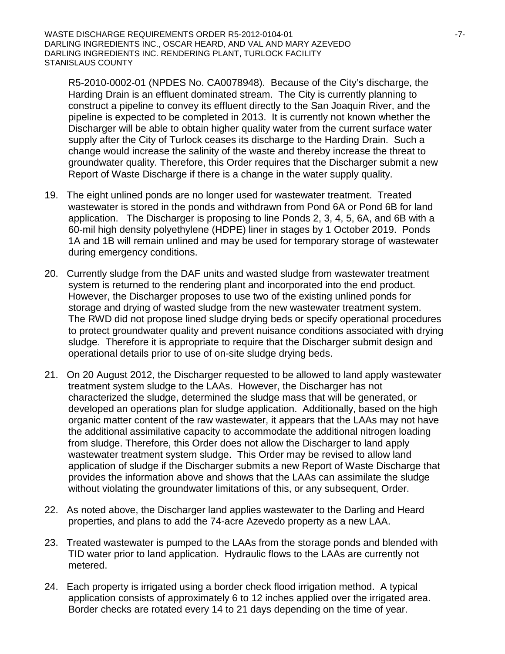R5-2010-0002-01 (NPDES No. CA0078948). Because of the City's discharge, the Harding Drain is an effluent dominated stream. The City is currently planning to construct a pipeline to convey its effluent directly to the San Joaquin River, and the pipeline is expected to be completed in 2013. It is currently not known whether the Discharger will be able to obtain higher quality water from the current surface water supply after the City of Turlock ceases its discharge to the Harding Drain. Such a change would increase the salinity of the waste and thereby increase the threat to groundwater quality. Therefore, this Order requires that the Discharger submit a new Report of Waste Discharge if there is a change in the water supply quality.

- 19. The eight unlined ponds are no longer used for wastewater treatment. Treated wastewater is stored in the ponds and withdrawn from Pond 6A or Pond 6B for land application. The Discharger is proposing to line Ponds 2, 3, 4, 5, 6A, and 6B with a 60-mil high density polyethylene (HDPE) liner in stages by 1 October 2019. Ponds 1A and 1B will remain unlined and may be used for temporary storage of wastewater during emergency conditions.
- 20. Currently sludge from the DAF units and wasted sludge from wastewater treatment system is returned to the rendering plant and incorporated into the end product. However, the Discharger proposes to use two of the existing unlined ponds for storage and drying of wasted sludge from the new wastewater treatment system. The RWD did not propose lined sludge drying beds or specify operational procedures to protect groundwater quality and prevent nuisance conditions associated with drying sludge. Therefore it is appropriate to require that the Discharger submit design and operational details prior to use of on-site sludge drying beds.
- 21. On 20 August 2012, the Discharger requested to be allowed to land apply wastewater treatment system sludge to the LAAs. However, the Discharger has not characterized the sludge, determined the sludge mass that will be generated, or developed an operations plan for sludge application. Additionally, based on the high organic matter content of the raw wastewater, it appears that the LAAs may not have the additional assimilative capacity to accommodate the additional nitrogen loading from sludge. Therefore, this Order does not allow the Discharger to land apply wastewater treatment system sludge. This Order may be revised to allow land application of sludge if the Discharger submits a new Report of Waste Discharge that provides the information above and shows that the LAAs can assimilate the sludge without violating the groundwater limitations of this, or any subsequent, Order.
- 22. As noted above, the Discharger land applies wastewater to the Darling and Heard properties, and plans to add the 74-acre Azevedo property as a new LAA.
- 23. Treated wastewater is pumped to the LAAs from the storage ponds and blended with TID water prior to land application. Hydraulic flows to the LAAs are currently not metered.
- 24. Each property is irrigated using a border check flood irrigation method. A typical application consists of approximately 6 to 12 inches applied over the irrigated area. Border checks are rotated every 14 to 21 days depending on the time of year.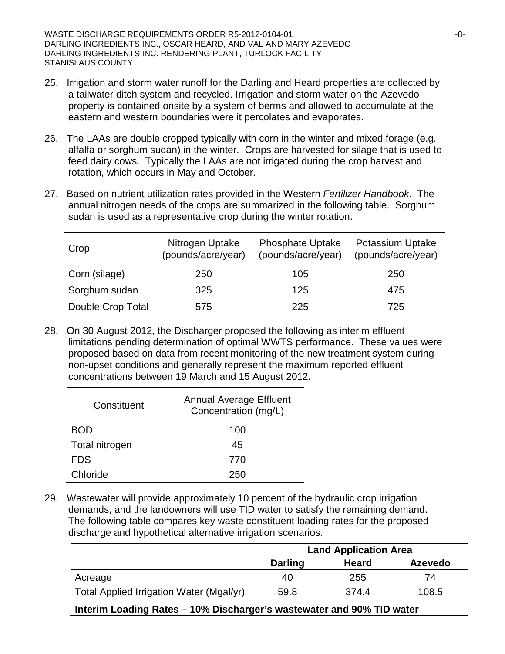WASTE DISCHARGE REQUIREMENTS ORDER R5-2012-0104-01  $-8-$ DARLING INGREDIENTS INC., OSCAR HEARD, AND VAL AND MARY AZEVEDO DARLING INGREDIENTS INC. RENDERING PLANT, TURLOCK FACILITY STANISLAUS COUNTY

- 25. Irrigation and storm water runoff for the Darling and Heard properties are collected by a tailwater ditch system and recycled. Irrigation and storm water on the Azevedo property is contained onsite by a system of berms and allowed to accumulate at the eastern and western boundaries were it percolates and evaporates.
- 26. The LAAs are double cropped typically with corn in the winter and mixed forage (e.g. alfalfa or sorghum sudan) in the winter. Crops are harvested for silage that is used to feed dairy cows. Typically the LAAs are not irrigated during the crop harvest and rotation, which occurs in May and October.
- 27. Based on nutrient utilization rates provided in the Western *Fertilizer Handbook*. The annual nitrogen needs of the crops are summarized in the following table. Sorghum sudan is used as a representative crop during the winter rotation.

| Crop              | Nitrogen Uptake<br>(pounds/acre/year) | <b>Phosphate Uptake</b><br>(pounds/acre/year) | <b>Potassium Uptake</b><br>(pounds/acre/year) |
|-------------------|---------------------------------------|-----------------------------------------------|-----------------------------------------------|
| Corn (silage)     | 250                                   | 105                                           | 250                                           |
| Sorghum sudan     | 325                                   | 125                                           | 475                                           |
| Double Crop Total | 575                                   | 225                                           | 725                                           |

28. On 30 August 2012, the Discharger proposed the following as interim effluent limitations pending determination of optimal WWTS performance. These values were proposed based on data from recent monitoring of the new treatment system during non-upset conditions and generally represent the maximum reported effluent concentrations between 19 March and 15 August 2012.

| Constituent    | <b>Annual Average Effluent</b><br>Concentration (mg/L) |
|----------------|--------------------------------------------------------|
| BOD            | 100                                                    |
| Total nitrogen | 45                                                     |
| <b>FDS</b>     | 770                                                    |
| Chloride       | 250                                                    |

29. Wastewater will provide approximately 10 percent of the hydraulic crop irrigation demands, and the landowners will use TID water to satisfy the remaining demand. The following table compares key waste constituent loading rates for the proposed discharge and hypothetical alternative irrigation scenarios.

|                                                                       | <b>Land Application Area</b> |              |                |
|-----------------------------------------------------------------------|------------------------------|--------------|----------------|
|                                                                       | <b>Darling</b>               | <b>Heard</b> | <b>Azevedo</b> |
| Acreage                                                               | 40                           | 255          | 74             |
| Total Applied Irrigation Water (Mgal/yr)                              | 59.8                         | 374.4        | 108.5          |
| Interim Loading Rates - 10% Discharger's wastewater and 90% TID water |                              |              |                |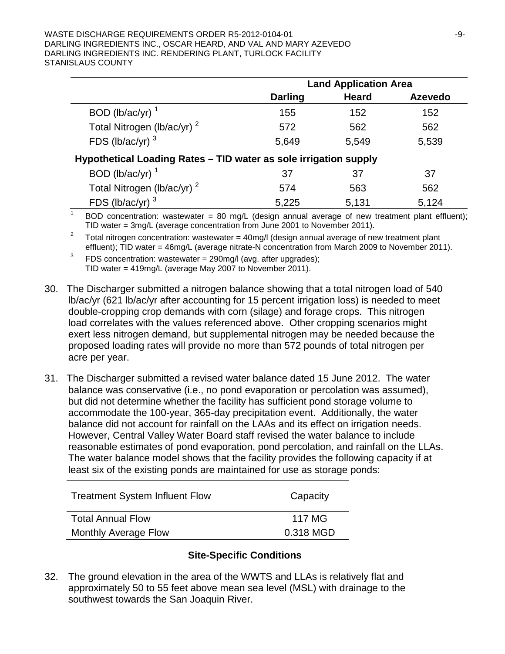#### WASTE DISCHARGE REQUIREMENTS ORDER R5-2012-0104-01  $-9$ -9-DARLING INGREDIENTS INC., OSCAR HEARD, AND VAL AND MARY AZEVEDO DARLING INGREDIENTS INC. RENDERING PLANT, TURLOCK FACILITY STANISLAUS COUNTY

|                                                                  | <b>Land Application Area</b> |              |                |  |
|------------------------------------------------------------------|------------------------------|--------------|----------------|--|
|                                                                  | <b>Darling</b>               | <b>Heard</b> | <b>Azevedo</b> |  |
| BOD (lb/ac/yr) $1$                                               | 155                          | 152          | 152            |  |
| Total Nitrogen (lb/ac/yr) <sup>2</sup>                           | 572                          | 562          | 562            |  |
| FDS (lb/ac/yr) $3$                                               | 5,649                        | 5,549        | 5,539          |  |
| Hypothetical Loading Rates - TID water as sole irrigation supply |                              |              |                |  |
| BOD (lb/ac/yr) $1$                                               | 37                           | 37           | 37             |  |
| Total Nitrogen (lb/ac/yr) <sup>2</sup>                           | 574                          | 563          | 562            |  |
| FDS (lb/ac/yr) $3$                                               | 5,225                        | 5,131        | 5,124          |  |
|                                                                  |                              |              |                |  |

<sup>1</sup> BOD concentration: wastewater = 80 mg/L (design annual average of new treatment plant effluent);<br>TID water = 3mg/L (average concentration from June 2001 to November 2011).

<sup>2</sup> Total nitrogen concentration: wastewater = 40mg/l (design annual average of new treatment plant effluent); TID water = 46mg/L (average nitrate-N concentration from March 2009 to November 2011).

<sup>3</sup> FDS concentration: wastewater =  $290$ mg/l (avg. after upgrades); TID water = 419mg/L (average May 2007 to November 2011).

- 30. The Discharger submitted a nitrogen balance showing that a total nitrogen load of 540 lb/ac/yr (621 lb/ac/yr after accounting for 15 percent irrigation loss) is needed to meet double-cropping crop demands with corn (silage) and forage crops. This nitrogen load correlates with the values referenced above. Other cropping scenarios might exert less nitrogen demand, but supplemental nitrogen may be needed because the proposed loading rates will provide no more than 572 pounds of total nitrogen per acre per year.
- 31. The Discharger submitted a revised water balance dated 15 June 2012. The water balance was conservative (i.e., no pond evaporation or percolation was assumed), but did not determine whether the facility has sufficient pond storage volume to accommodate the 100-year, 365-day precipitation event. Additionally, the water balance did not account for rainfall on the LAAs and its effect on irrigation needs. However, Central Valley Water Board staff revised the water balance to include reasonable estimates of pond evaporation, pond percolation, and rainfall on the LLAs. The water balance model shows that the facility provides the following capacity if at least six of the existing ponds are maintained for use as storage ponds:

| <b>Treatment System Influent Flow</b> | Capacity  |
|---------------------------------------|-----------|
| <b>Total Annual Flow</b>              | 117 MG    |
| <b>Monthly Average Flow</b>           | 0.318 MGD |

#### **Site-Specific Conditions**

32. The ground elevation in the area of the WWTS and LLAs is relatively flat and approximately 50 to 55 feet above mean sea level (MSL) with drainage to the southwest towards the San Joaquin River.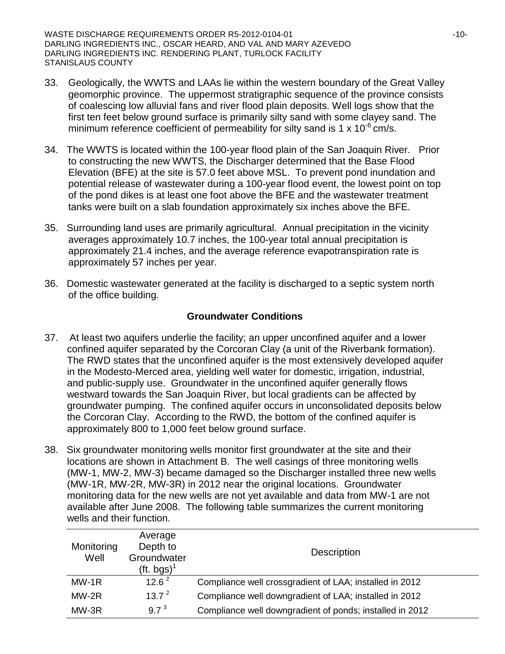WASTE DISCHARGE REQUIREMENTS ORDER R5-2012-0104-01 -10-DARLING INGREDIENTS INC., OSCAR HEARD, AND VAL AND MARY AZEVEDO DARLING INGREDIENTS INC. RENDERING PLANT, TURLOCK FACILITY STANISLAUS COUNTY

- 33. Geologically, the WWTS and LAAs lie within the western boundary of the Great Valley geomorphic province. The uppermost stratigraphic sequence of the province consists of coalescing low alluvial fans and river flood plain deposits. Well logs show that the first ten feet below ground surface is primarily silty sand with some clayey sand. The minimum reference coefficient of permeability for silty sand is 1 x 10<sup>-6</sup> cm/s.
- 34. The WWTS is located within the 100-year flood plain of the San Joaquin River. Prior to constructing the new WWTS, the Discharger determined that the Base Flood Elevation (BFE) at the site is 57.0 feet above MSL. To prevent pond inundation and potential release of wastewater during a 100-year flood event, the lowest point on top of the pond dikes is at least one foot above the BFE and the wastewater treatment tanks were built on a slab foundation approximately six inches above the BFE.
- 35. Surrounding land uses are primarily agricultural. Annual precipitation in the vicinity averages approximately 10.7 inches, the 100-year total annual precipitation is approximately 21.4 inches, and the average reference evapotranspiration rate is approximately 57 inches per year.
- 36. Domestic wastewater generated at the facility is discharged to a septic system north of the office building.

#### **Groundwater Conditions**

- 37. At least two aquifers underlie the facility; an upper unconfined aquifer and a lower confined aquifer separated by the Corcoran Clay (a unit of the Riverbank formation). The RWD states that the unconfined aquifer is the most extensively developed aquifer in the Modesto-Merced area, yielding well water for domestic, irrigation, industrial, and public-supply use. Groundwater in the unconfined aquifer generally flows westward towards the San Joaquin River, but local gradients can be affected by groundwater pumping. The confined aquifer occurs in unconsolidated deposits below the Corcoran Clay. According to the RWD, the bottom of the confined aquifer is approximately 800 to 1,000 feet below ground surface.
- 38. Six groundwater monitoring wells monitor first groundwater at the site and their locations are shown in Attachment B. The well casings of three monitoring wells (MW-1, MW-2, MW-3) became damaged so the Discharger installed three new wells (MW-1R, MW-2R, MW-3R) in 2012 near the original locations. Groundwater monitoring data for the new wells are not yet available and data from MW-1 are not available after June 2008. The following table summarizes the current monitoring wells and their function.

| Monitoring<br>Well | Average<br>Depth to<br>Groundwater<br>(ft. bgs) $^1$ | <b>Description</b>                                       |
|--------------------|------------------------------------------------------|----------------------------------------------------------|
| $MW-1R$            | 12.6 <sup>2</sup>                                    | Compliance well crossgradient of LAA; installed in 2012  |
| $MW-2R$            | 13.7 <sup>2</sup>                                    | Compliance well downgradient of LAA; installed in 2012   |
| MW-3R              | 9.7 <sup>3</sup>                                     | Compliance well downgradient of ponds; installed in 2012 |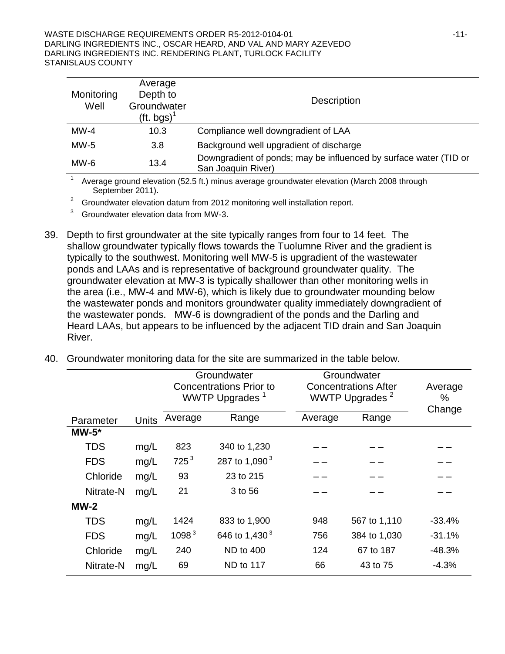| Monitoring<br>Well | Average<br>Depth to<br>Groundwater<br>(ft. bgs) <sup>1</sup> | Description                                                                             |
|--------------------|--------------------------------------------------------------|-----------------------------------------------------------------------------------------|
| $MW-4$             | 10.3                                                         | Compliance well downgradient of LAA                                                     |
| $MW-5$             | 3.8                                                          | Background well upgradient of discharge                                                 |
| $MW-6$             | 13.4                                                         | Downgradient of ponds; may be influenced by surface water (TID or<br>San Joaquin River) |

<sup>1</sup> Average ground elevation (52.5 ft.) minus average groundwater elevation (March 2008 through September 2011).

 $2^2$  Groundwater elevation datum from 2012 monitoring well installation report.

 $3$  Groundwater elevation data from MW-3.

- 39. Depth to first groundwater at the site typically ranges from four to 14 feet. The shallow groundwater typically flows towards the Tuolumne River and the gradient is typically to the southwest. Monitoring well MW-5 is upgradient of the wastewater ponds and LAAs and is representative of background groundwater quality. The groundwater elevation at MW-3 is typically shallower than other monitoring wells in the area (i.e., MW-4 and MW-6), which is likely due to groundwater mounding below the wastewater ponds and monitors groundwater quality immediately downgradient of the wastewater ponds. MW-6 is downgradient of the ponds and the Darling and Heard LAAs, but appears to be influenced by the adjacent TID drain and San Joaquin River.
- 40. Groundwater monitoring data for the site are summarized in the table below.

|            |       | Groundwater       |                                |         | Groundwater                 |          |  |
|------------|-------|-------------------|--------------------------------|---------|-----------------------------|----------|--|
|            |       |                   | <b>Concentrations Prior to</b> |         | <b>Concentrations After</b> | Average  |  |
|            |       |                   | WWTP Upgrades <sup>1</sup>     |         | WWTP Upgrades <sup>2</sup>  | $\%$     |  |
| Parameter  | Units | Average           | Range                          | Average | Range                       | Change   |  |
| $MW-5*$    |       |                   |                                |         |                             |          |  |
| <b>TDS</b> | mg/L  | 823               | 340 to 1,230                   |         |                             |          |  |
| <b>FDS</b> | mg/L  | $725^3$           | 287 to 1,090 <sup>3</sup>      |         |                             |          |  |
| Chloride   | mg/L  | 93                | 23 to 215                      |         |                             |          |  |
| Nitrate-N  | mg/L  | 21                | 3 to 56                        |         |                             |          |  |
| $MW-2$     |       |                   |                                |         |                             |          |  |
| <b>TDS</b> | mg/L  | 1424              | 833 to 1,900                   | 948     | 567 to 1,110                | $-33.4%$ |  |
| <b>FDS</b> | mg/L  | 1098 <sup>3</sup> | 646 to 1,430 <sup>3</sup>      | 756     | 384 to 1,030                | $-31.1%$ |  |
| Chloride   | mg/L  | 240               | <b>ND to 400</b>               | 124     | 67 to 187                   | $-48.3%$ |  |
| Nitrate-N  | mg/L  | 69                | ND to 117                      | 66      | 43 to 75                    | $-4.3%$  |  |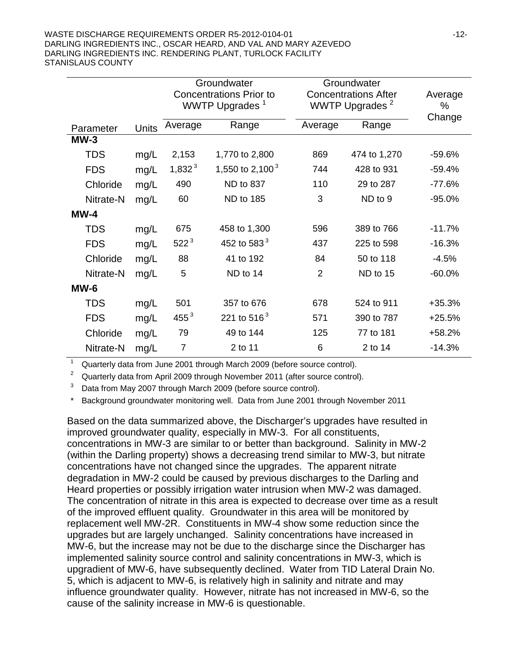|            |              | Groundwater<br><b>Concentrations Prior to</b> |                            |                | Groundwater<br><b>Concentrations After</b> |             |
|------------|--------------|-----------------------------------------------|----------------------------|----------------|--------------------------------------------|-------------|
|            |              |                                               | WWTP Upgrades <sup>1</sup> |                | WWTP Upgrades <sup>2</sup>                 | %<br>Change |
| Parameter  | <b>Units</b> | Average                                       | Range                      | Average        | Range                                      |             |
| $MW-3$     |              |                                               |                            |                |                                            |             |
| <b>TDS</b> | mg/L         | 2,153                                         | 1,770 to 2,800             | 869            | 474 to 1,270                               | $-59.6%$    |
| <b>FDS</b> | mg/L         | 1,832 <sup>3</sup>                            | 1,550 to 2,100 $^3$        | 744            | 428 to 931                                 | $-59.4%$    |
| Chloride   | mg/L         | 490                                           | <b>ND to 837</b>           | 110            | 29 to 287                                  | $-77.6%$    |
| Nitrate-N  | mg/L         | 60                                            | <b>ND to 185</b>           | 3              | ND to 9                                    | $-95.0%$    |
| $MW-4$     |              |                                               |                            |                |                                            |             |
| <b>TDS</b> | mg/L         | 675                                           | 458 to 1,300               | 596            | 389 to 766                                 | $-11.7%$    |
| <b>FDS</b> | mg/L         | $522^3$                                       | 452 to 583 $3$             | 437            | 225 to 598                                 | $-16.3%$    |
| Chloride   | mg/L         | 88                                            | 41 to 192                  | 84             | 50 to 118                                  | $-4.5%$     |
| Nitrate-N  | mg/L         | 5                                             | ND to 14                   | $\overline{2}$ | ND to 15                                   | $-60.0%$    |
| $MW-6$     |              |                                               |                            |                |                                            |             |
| <b>TDS</b> | mg/L         | 501                                           | 357 to 676                 | 678            | 524 to 911                                 | $+35.3%$    |
| <b>FDS</b> | mg/L         | $455^3$                                       | 221 to 516 $3$             | 571            | 390 to 787                                 | $+25.5%$    |
| Chloride   | mg/L         | 79                                            | 49 to 144                  | 125            | 77 to 181                                  | $+58.2%$    |
| Nitrate-N  | mg/L         | $\overline{7}$                                | 2 to 11                    | 6              | 2 to 14                                    | $-14.3%$    |

<sup>1</sup> Quarterly data from June 2001 through March 2009 (before source control).

Quarterly data from April 2009 through November 2011 (after source control).

<sup>3</sup> Data from May 2007 through March 2009 (before source control).

Background groundwater monitoring well. Data from June 2001 through November 2011

Based on the data summarized above, the Discharger's upgrades have resulted in improved groundwater quality, especially in MW-3. For all constituents, concentrations in MW-3 are similar to or better than background. Salinity in MW-2 (within the Darling property) shows a decreasing trend similar to MW-3, but nitrate concentrations have not changed since the upgrades. The apparent nitrate degradation in MW-2 could be caused by previous discharges to the Darling and Heard properties or possibly irrigation water intrusion when MW-2 was damaged. The concentration of nitrate in this area is expected to decrease over time as a result of the improved effluent quality. Groundwater in this area will be monitored by replacement well MW-2R. Constituents in MW-4 show some reduction since the upgrades but are largely unchanged. Salinity concentrations have increased in MW-6, but the increase may not be due to the discharge since the Discharger has implemented salinity source control and salinity concentrations in MW-3, which is upgradient of MW-6, have subsequently declined. Water from TID Lateral Drain No. 5, which is adjacent to MW-6, is relatively high in salinity and nitrate and may influence groundwater quality. However, nitrate has not increased in MW-6, so the cause of the salinity increase in MW-6 is questionable.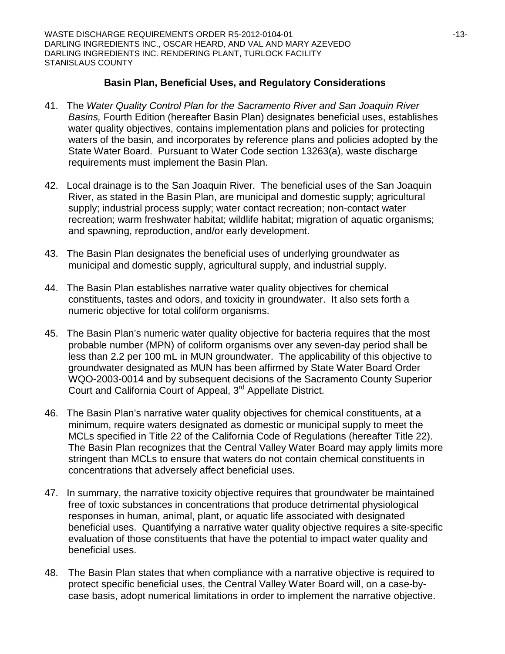#### **Basin Plan, Beneficial Uses, and Regulatory Considerations**

- 41. The *Water Quality Control Plan for the Sacramento River and San Joaquin River Basins,* Fourth Edition (hereafter Basin Plan) designates beneficial uses, establishes water quality objectives, contains implementation plans and policies for protecting waters of the basin, and incorporates by reference plans and policies adopted by the State Water Board. Pursuant to Water Code section 13263(a), waste discharge requirements must implement the Basin Plan.
- 42. Local drainage is to the San Joaquin River. The beneficial uses of the San Joaquin River, as stated in the Basin Plan, are municipal and domestic supply; agricultural supply; industrial process supply; water contact recreation; non-contact water recreation; warm freshwater habitat; wildlife habitat; migration of aquatic organisms; and spawning, reproduction, and/or early development.
- 43. The Basin Plan designates the beneficial uses of underlying groundwater as municipal and domestic supply, agricultural supply, and industrial supply.
- 44. The Basin Plan establishes narrative water quality objectives for chemical constituents, tastes and odors, and toxicity in groundwater. It also sets forth a numeric objective for total coliform organisms.
- 45. The Basin Plan's numeric water quality objective for bacteria requires that the most probable number (MPN) of coliform organisms over any seven-day period shall be less than 2.2 per 100 mL in MUN groundwater. The applicability of this objective to groundwater designated as MUN has been affirmed by State Water Board Order WQO-2003-0014 and by subsequent decisions of the Sacramento County Superior Court and California Court of Appeal, 3rd Appellate District.
- 46. The Basin Plan's narrative water quality objectives for chemical constituents, at a minimum, require waters designated as domestic or municipal supply to meet the MCLs specified in Title 22 of the California Code of Regulations (hereafter Title 22). The Basin Plan recognizes that the Central Valley Water Board may apply limits more stringent than MCLs to ensure that waters do not contain chemical constituents in concentrations that adversely affect beneficial uses.
- 47. In summary, the narrative toxicity objective requires that groundwater be maintained free of toxic substances in concentrations that produce detrimental physiological responses in human, animal, plant, or aquatic life associated with designated beneficial uses. Quantifying a narrative water quality objective requires a site-specific evaluation of those constituents that have the potential to impact water quality and beneficial uses.
- 48. The Basin Plan states that when compliance with a narrative objective is required to protect specific beneficial uses, the Central Valley Water Board will, on a case-bycase basis, adopt numerical limitations in order to implement the narrative objective.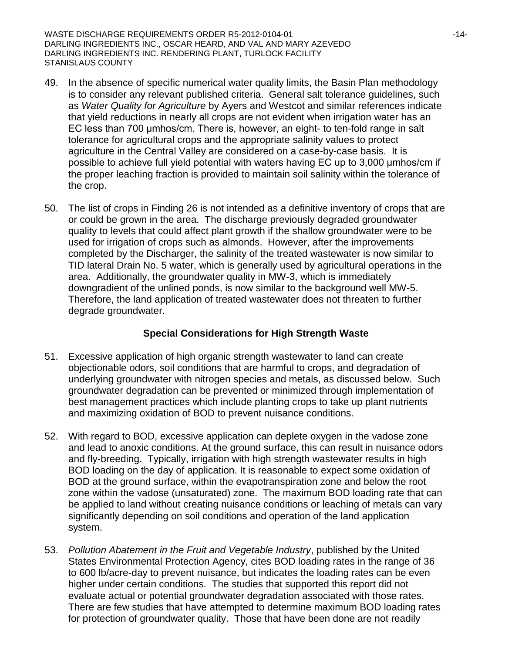WASTE DISCHARGE REQUIREMENTS ORDER R5-2012-0104-01 -14-DARLING INGREDIENTS INC., OSCAR HEARD, AND VAL AND MARY AZEVEDO DARLING INGREDIENTS INC. RENDERING PLANT, TURLOCK FACILITY STANISLAUS COUNTY

- 49. In the absence of specific numerical water quality limits, the Basin Plan methodology is to consider any relevant published criteria. General salt tolerance guidelines, such as *Water Quality for Agriculture* by Ayers and Westcot and similar references indicate that yield reductions in nearly all crops are not evident when irrigation water has an EC less than 700 μmhos/cm. There is, however, an eight- to ten-fold range in salt tolerance for agricultural crops and the appropriate salinity values to protect agriculture in the Central Valley are considered on a case-by-case basis. It is possible to achieve full yield potential with waters having EC up to 3,000 μmhos/cm if the proper leaching fraction is provided to maintain soil salinity within the tolerance of the crop.
- 50. The list of crops in Finding 26 is not intended as a definitive inventory of crops that are or could be grown in the area. The discharge previously degraded groundwater quality to levels that could affect plant growth if the shallow groundwater were to be used for irrigation of crops such as almonds. However, after the improvements completed by the Discharger, the salinity of the treated wastewater is now similar to TID lateral Drain No. 5 water, which is generally used by agricultural operations in the area. Additionally, the groundwater quality in MW-3, which is immediately downgradient of the unlined ponds, is now similar to the background well MW-5. Therefore, the land application of treated wastewater does not threaten to further degrade groundwater.

# **Special Considerations for High Strength Waste**

- 51. Excessive application of high organic strength wastewater to land can create objectionable odors, soil conditions that are harmful to crops, and degradation of underlying groundwater with nitrogen species and metals, as discussed below. Such groundwater degradation can be prevented or minimized through implementation of best management practices which include planting crops to take up plant nutrients and maximizing oxidation of BOD to prevent nuisance conditions.
- 52. With regard to BOD, excessive application can deplete oxygen in the vadose zone and lead to anoxic conditions. At the ground surface, this can result in nuisance odors and fly-breeding. Typically, irrigation with high strength wastewater results in high BOD loading on the day of application. It is reasonable to expect some oxidation of BOD at the ground surface, within the evapotranspiration zone and below the root zone within the vadose (unsaturated) zone. The maximum BOD loading rate that can be applied to land without creating nuisance conditions or leaching of metals can vary significantly depending on soil conditions and operation of the land application system.
- 53. *Pollution Abatement in the Fruit and Vegetable Industry*, published by the United States Environmental Protection Agency, cites BOD loading rates in the range of 36 to 600 lb/acre-day to prevent nuisance, but indicates the loading rates can be even higher under certain conditions. The studies that supported this report did not evaluate actual or potential groundwater degradation associated with those rates. There are few studies that have attempted to determine maximum BOD loading rates for protection of groundwater quality. Those that have been done are not readily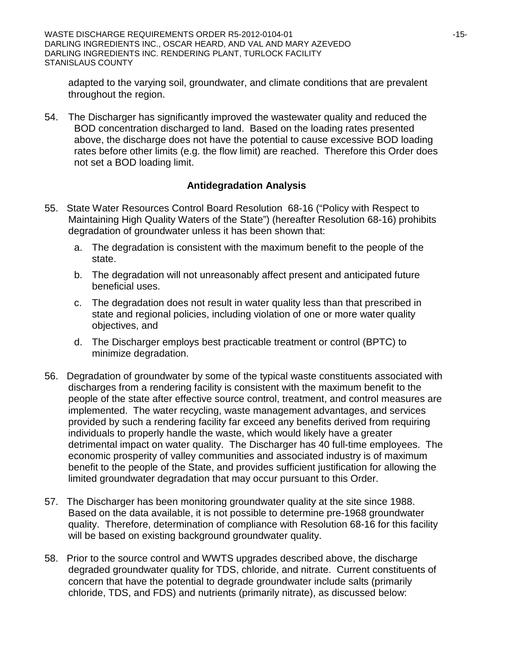adapted to the varying soil, groundwater, and climate conditions that are prevalent throughout the region.

54. The Discharger has significantly improved the wastewater quality and reduced the BOD concentration discharged to land. Based on the loading rates presented above, the discharge does not have the potential to cause excessive BOD loading rates before other limits (e.g. the flow limit) are reached. Therefore this Order does not set a BOD loading limit.

# **Antidegradation Analysis**

- 55. State Water Resources Control Board Resolution 68-16 ("Policy with Respect to Maintaining High Quality Waters of the State") (hereafter Resolution 68-16) prohibits degradation of groundwater unless it has been shown that:
	- a. The degradation is consistent with the maximum benefit to the people of the state.
	- b. The degradation will not unreasonably affect present and anticipated future beneficial uses.
	- c. The degradation does not result in water quality less than that prescribed in state and regional policies, including violation of one or more water quality objectives, and
	- d. The Discharger employs best practicable treatment or control (BPTC) to minimize degradation.
- 56. Degradation of groundwater by some of the typical waste constituents associated with discharges from a rendering facility is consistent with the maximum benefit to the people of the state after effective source control, treatment, and control measures are implemented. The water recycling, waste management advantages, and services provided by such a rendering facility far exceed any benefits derived from requiring individuals to properly handle the waste, which would likely have a greater detrimental impact on water quality. The Discharger has 40 full-time employees. The economic prosperity of valley communities and associated industry is of maximum benefit to the people of the State, and provides sufficient justification for allowing the limited groundwater degradation that may occur pursuant to this Order.
- 57. The Discharger has been monitoring groundwater quality at the site since 1988. Based on the data available, it is not possible to determine pre-1968 groundwater quality. Therefore, determination of compliance with Resolution 68-16 for this facility will be based on existing background groundwater quality.
- 58. Prior to the source control and WWTS upgrades described above, the discharge degraded groundwater quality for TDS, chloride, and nitrate. Current constituents of concern that have the potential to degrade groundwater include salts (primarily chloride, TDS, and FDS) and nutrients (primarily nitrate), as discussed below: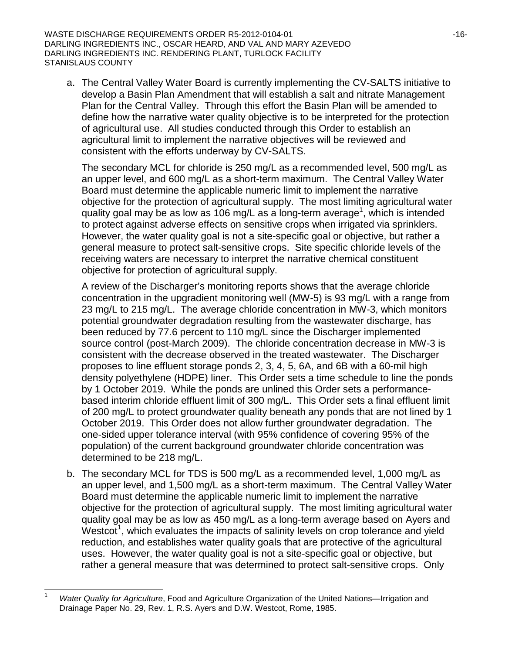WASTE DISCHARGE REQUIREMENTS ORDER R5-2012-0104-01  $-16-16-16-16$ DARLING INGREDIENTS INC., OSCAR HEARD, AND VAL AND MARY AZEVEDO DARLING INGREDIENTS INC. RENDERING PLANT, TURLOCK FACILITY STANISLAUS COUNTY

a. The Central Valley Water Board is currently implementing the CV-SALTS initiative to develop a Basin Plan Amendment that will establish a salt and nitrate Management Plan for the Central Valley. Through this effort the Basin Plan will be amended to define how the narrative water quality objective is to be interpreted for the protection of agricultural use. All studies conducted through this Order to establish an agricultural limit to implement the narrative objectives will be reviewed and consistent with the efforts underway by CV-SALTS.

The secondary MCL for chloride is 250 mg/L as a recommended level, 500 mg/L as an upper level, and 600 mg/L as a short-term maximum. The Central Valley Water Board must determine the applicable numeric limit to implement the narrative objective for the protection of agricultural supply. The most limiting agricultural water quality goal may be as low as 106 mg/L as a long-term average<sup>1</sup>, which is intended to protect against adverse effects on sensitive crops when irrigated via sprinklers. However, the water quality goal is not a site-specific goal or objective, but rather a general measure to protect salt-sensitive crops. Site specific chloride levels of the receiving waters are necessary to interpret the narrative chemical constituent objective for protection of agricultural supply.

A review of the Discharger's monitoring reports shows that the average chloride concentration in the upgradient monitoring well (MW-5) is 93 mg/L with a range from 23 mg/L to 215 mg/L. The average chloride concentration in MW-3, which monitors potential groundwater degradation resulting from the wastewater discharge, has been reduced by 77.6 percent to 110 mg/L since the Discharger implemented source control (post-March 2009). The chloride concentration decrease in MW-3 is consistent with the decrease observed in the treated wastewater. The Discharger proposes to line effluent storage ponds 2, 3, 4, 5, 6A, and 6B with a 60-mil high density polyethylene (HDPE) liner. This Order sets a time schedule to line the ponds by 1 October 2019. While the ponds are unlined this Order sets a performancebased interim chloride effluent limit of 300 mg/L. This Order sets a final effluent limit of 200 mg/L to protect groundwater quality beneath any ponds that are not lined by 1 October 2019. This Order does not allow further groundwater degradation. The one-sided upper tolerance interval (with 95% confidence of covering 95% of the population) of the current background groundwater chloride concentration was determined to be 218 mg/L.

b. The secondary MCL for TDS is 500 mg/L as a recommended level, 1,000 mg/L as an upper level, and 1,500 mg/L as a short-term maximum. The Central Valley Water Board must determine the applicable numeric limit to implement the narrative objective for the protection of agricultural supply. The most limiting agricultural water quality goal may be as low as 450 mg/L as a long-term average based on Ayers and Westcot<sup>[1](#page-15-0)</sup>, which evaluates the impacts of salinity levels on crop tolerance and yield reduction, and establishes water quality goals that are protective of the agricultural uses. However, the water quality goal is not a site-specific goal or objective, but rather a general measure that was determined to protect salt-sensitive crops. Only

<span id="page-15-0"></span> <sup>1</sup> *Water Quality for Agriculture*, Food and Agriculture Organization of the United Nations—Irrigation and Drainage Paper No. 29, Rev. 1, R.S. Ayers and D.W. Westcot, Rome, 1985.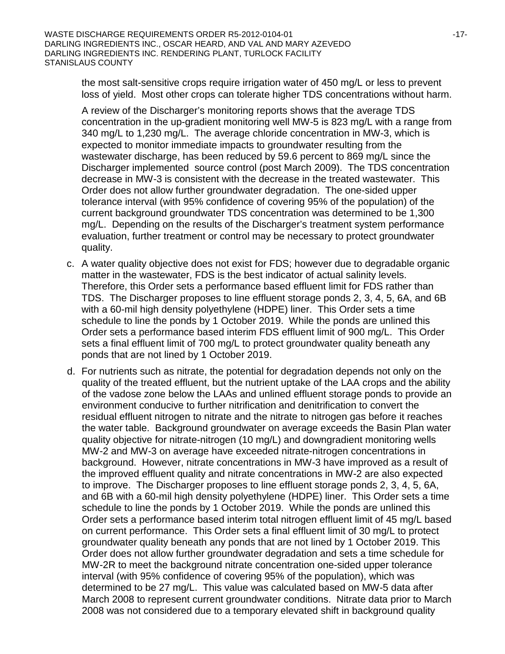the most salt-sensitive crops require irrigation water of 450 mg/L or less to prevent loss of yield. Most other crops can tolerate higher TDS concentrations without harm.

A review of the Discharger's monitoring reports shows that the average TDS concentration in the up-gradient monitoring well MW-5 is 823 mg/L with a range from 340 mg/L to 1,230 mg/L. The average chloride concentration in MW-3, which is expected to monitor immediate impacts to groundwater resulting from the wastewater discharge, has been reduced by 59.6 percent to 869 mg/L since the Discharger implemented source control (post March 2009). The TDS concentration decrease in MW-3 is consistent with the decrease in the treated wastewater. This Order does not allow further groundwater degradation. The one-sided upper tolerance interval (with 95% confidence of covering 95% of the population) of the current background groundwater TDS concentration was determined to be 1,300 mg/L. Depending on the results of the Discharger's treatment system performance evaluation, further treatment or control may be necessary to protect groundwater quality.

- c. A water quality objective does not exist for FDS; however due to degradable organic matter in the wastewater, FDS is the best indicator of actual salinity levels. Therefore, this Order sets a performance based effluent limit for FDS rather than TDS. The Discharger proposes to line effluent storage ponds 2, 3, 4, 5, 6A, and 6B with a 60-mil high density polyethylene (HDPE) liner. This Order sets a time schedule to line the ponds by 1 October 2019. While the ponds are unlined this Order sets a performance based interim FDS effluent limit of 900 mg/L. This Order sets a final effluent limit of 700 mg/L to protect groundwater quality beneath any ponds that are not lined by 1 October 2019.
- d. For nutrients such as nitrate, the potential for degradation depends not only on the quality of the treated effluent, but the nutrient uptake of the LAA crops and the ability of the vadose zone below the LAAs and unlined effluent storage ponds to provide an environment conducive to further nitrification and denitrification to convert the residual effluent nitrogen to nitrate and the nitrate to nitrogen gas before it reaches the water table. Background groundwater on average exceeds the Basin Plan water quality objective for nitrate-nitrogen (10 mg/L) and downgradient monitoring wells MW-2 and MW-3 on average have exceeded nitrate-nitrogen concentrations in background. However, nitrate concentrations in MW-3 have improved as a result of the improved effluent quality and nitrate concentrations in MW-2 are also expected to improve. The Discharger proposes to line effluent storage ponds 2, 3, 4, 5, 6A, and 6B with a 60-mil high density polyethylene (HDPE) liner. This Order sets a time schedule to line the ponds by 1 October 2019. While the ponds are unlined this Order sets a performance based interim total nitrogen effluent limit of 45 mg/L based on current performance. This Order sets a final effluent limit of 30 mg/L to protect groundwater quality beneath any ponds that are not lined by 1 October 2019. This Order does not allow further groundwater degradation and sets a time schedule for MW-2R to meet the background nitrate concentration one-sided upper tolerance interval (with 95% confidence of covering 95% of the population), which was determined to be 27 mg/L. This value was calculated based on MW-5 data after March 2008 to represent current groundwater conditions. Nitrate data prior to March 2008 was not considered due to a temporary elevated shift in background quality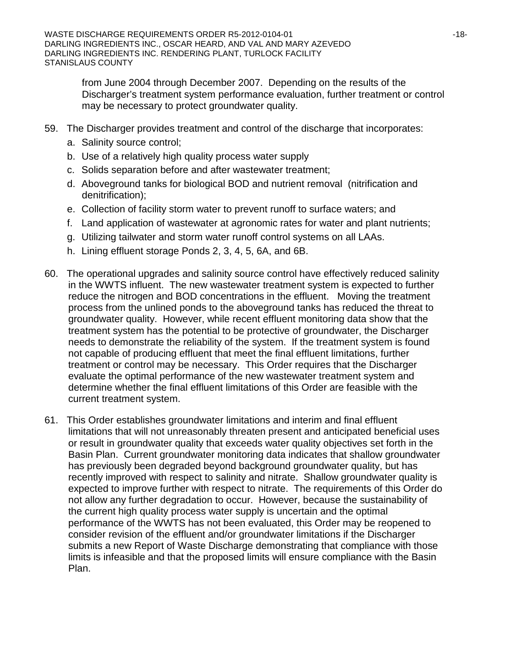from June 2004 through December 2007. Depending on the results of the Discharger's treatment system performance evaluation, further treatment or control may be necessary to protect groundwater quality.

- 59. The Discharger provides treatment and control of the discharge that incorporates:
	- a. Salinity source control;
	- b. Use of a relatively high quality process water supply
	- c. Solids separation before and after wastewater treatment;
	- d. Aboveground tanks for biological BOD and nutrient removal (nitrification and denitrification);
	- e. Collection of facility storm water to prevent runoff to surface waters; and
	- f. Land application of wastewater at agronomic rates for water and plant nutrients;
	- g. Utilizing tailwater and storm water runoff control systems on all LAAs.
	- h. Lining effluent storage Ponds 2, 3, 4, 5, 6A, and 6B.
- 60. The operational upgrades and salinity source control have effectively reduced salinity in the WWTS influent. The new wastewater treatment system is expected to further reduce the nitrogen and BOD concentrations in the effluent. Moving the treatment process from the unlined ponds to the aboveground tanks has reduced the threat to groundwater quality. However, while recent effluent monitoring data show that the treatment system has the potential to be protective of groundwater, the Discharger needs to demonstrate the reliability of the system. If the treatment system is found not capable of producing effluent that meet the final effluent limitations, further treatment or control may be necessary. This Order requires that the Discharger evaluate the optimal performance of the new wastewater treatment system and determine whether the final effluent limitations of this Order are feasible with the current treatment system.
- 61. This Order establishes groundwater limitations and interim and final effluent limitations that will not unreasonably threaten present and anticipated beneficial uses or result in groundwater quality that exceeds water quality objectives set forth in the Basin Plan. Current groundwater monitoring data indicates that shallow groundwater has previously been degraded beyond background groundwater quality, but has recently improved with respect to salinity and nitrate. Shallow groundwater quality is expected to improve further with respect to nitrate. The requirements of this Order do not allow any further degradation to occur. However, because the sustainability of the current high quality process water supply is uncertain and the optimal performance of the WWTS has not been evaluated, this Order may be reopened to consider revision of the effluent and/or groundwater limitations if the Discharger submits a new Report of Waste Discharge demonstrating that compliance with those limits is infeasible and that the proposed limits will ensure compliance with the Basin Plan.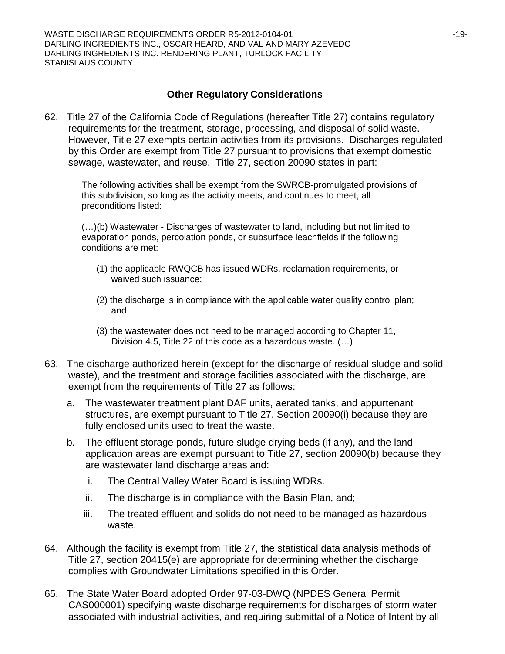#### **Other Regulatory Considerations**

62. Title 27 of the California Code of Regulations (hereafter Title 27) contains regulatory requirements for the treatment, storage, processing, and disposal of solid waste. However, Title 27 exempts certain activities from its provisions. Discharges regulated by this Order are exempt from Title 27 pursuant to provisions that exempt domestic sewage, wastewater, and reuse. Title 27, section 20090 states in part:

The following activities shall be exempt from the SWRCB-promulgated provisions of this subdivision, so long as the activity meets, and continues to meet, all preconditions listed:

(…)(b) Wastewater - Discharges of wastewater to land, including but not limited to evaporation ponds, percolation ponds, or subsurface leachfields if the following conditions are met:

- (1) the applicable RWQCB has issued WDRs, reclamation requirements, or waived such issuance;
- (2) the discharge is in compliance with the applicable water quality control plan; and
- (3) the wastewater does not need to be managed according to Chapter 11, Division 4.5, Title 22 of this code as a hazardous waste. (…)
- 63. The discharge authorized herein (except for the discharge of residual sludge and solid waste), and the treatment and storage facilities associated with the discharge, are exempt from the requirements of Title 27 as follows:
	- a. The wastewater treatment plant DAF units, aerated tanks, and appurtenant structures, are exempt pursuant to Title 27, Section 20090(i) because they are fully enclosed units used to treat the waste.
	- b. The effluent storage ponds, future sludge drying beds (if any), and the land application areas are exempt pursuant to Title 27, section 20090(b) because they are wastewater land discharge areas and:
		- i. The Central Valley Water Board is issuing WDRs.
		- ii. The discharge is in compliance with the Basin Plan, and;
		- iii. The treated effluent and solids do not need to be managed as hazardous waste.
- 64. Although the facility is exempt from Title 27, the statistical data analysis methods of Title 27, section 20415(e) are appropriate for determining whether the discharge complies with Groundwater Limitations specified in this Order.
- 65. The State Water Board adopted Order 97-03-DWQ (NPDES General Permit CAS000001) specifying waste discharge requirements for discharges of storm water associated with industrial activities, and requiring submittal of a Notice of Intent by all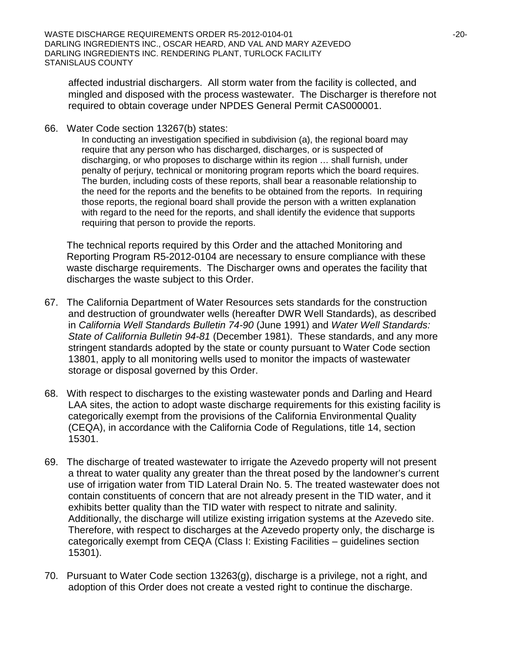affected industrial dischargers. All storm water from the facility is collected, and mingled and disposed with the process wastewater. The Discharger is therefore not required to obtain coverage under NPDES General Permit CAS000001.

66. Water Code section 13267(b) states:

In conducting an investigation specified in subdivision (a), the regional board may require that any person who has discharged, discharges, or is suspected of discharging, or who proposes to discharge within its region … shall furnish, under penalty of perjury, technical or monitoring program reports which the board requires. The burden, including costs of these reports, shall bear a reasonable relationship to the need for the reports and the benefits to be obtained from the reports. In requiring those reports, the regional board shall provide the person with a written explanation with regard to the need for the reports, and shall identify the evidence that supports requiring that person to provide the reports.

The technical reports required by this Order and the attached Monitoring and Reporting Program R5-2012-0104 are necessary to ensure compliance with these waste discharge requirements. The Discharger owns and operates the facility that discharges the waste subject to this Order.

- 67. The California Department of Water Resources sets standards for the construction and destruction of groundwater wells (hereafter DWR Well Standards), as described in *California Well Standards Bulletin 74-90* (June 1991) and *Water Well Standards: State of California Bulletin 94-81* (December 1981). These standards, and any more stringent standards adopted by the state or county pursuant to Water Code section 13801, apply to all monitoring wells used to monitor the impacts of wastewater storage or disposal governed by this Order.
- 68. With respect to discharges to the existing wastewater ponds and Darling and Heard LAA sites, the action to adopt waste discharge requirements for this existing facility is categorically exempt from the provisions of the California Environmental Quality (CEQA), in accordance with the California Code of Regulations, title 14, section 15301.
- 69. The discharge of treated wastewater to irrigate the Azevedo property will not present a threat to water quality any greater than the threat posed by the landowner's current use of irrigation water from TID Lateral Drain No. 5. The treated wastewater does not contain constituents of concern that are not already present in the TID water, and it exhibits better quality than the TID water with respect to nitrate and salinity. Additionally, the discharge will utilize existing irrigation systems at the Azevedo site. Therefore, with respect to discharges at the Azevedo property only, the discharge is categorically exempt from CEQA (Class I: Existing Facilities – guidelines section 15301).
- 70. Pursuant to Water Code section 13263(g), discharge is a privilege, not a right, and adoption of this Order does not create a vested right to continue the discharge.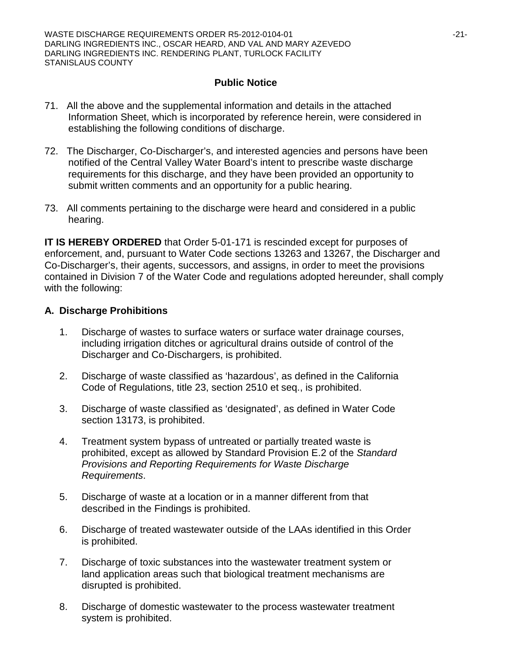#### **Public Notice**

- 71. All the above and the supplemental information and details in the attached Information Sheet, which is incorporated by reference herein, were considered in establishing the following conditions of discharge.
- 72. The Discharger, Co-Discharger's, and interested agencies and persons have been notified of the Central Valley Water Board's intent to prescribe waste discharge requirements for this discharge, and they have been provided an opportunity to submit written comments and an opportunity for a public hearing.
- 73. All comments pertaining to the discharge were heard and considered in a public hearing.

**IT IS HEREBY ORDERED** that Order 5-01-171 is rescinded except for purposes of enforcement, and, pursuant to Water Code sections 13263 and 13267, the Discharger and Co-Discharger's, their agents, successors, and assigns, in order to meet the provisions contained in Division 7 of the Water Code and regulations adopted hereunder, shall comply with the following:

### **A. Discharge Prohibitions**

- 1. Discharge of wastes to surface waters or surface water drainage courses, including irrigation ditches or agricultural drains outside of control of the Discharger and Co-Dischargers, is prohibited.
- 2. Discharge of waste classified as 'hazardous', as defined in the California Code of Regulations, title 23, section 2510 et seq., is prohibited.
- 3. Discharge of waste classified as 'designated', as defined in Water Code section 13173, is prohibited.
- 4. Treatment system bypass of untreated or partially treated waste is prohibited, except as allowed by Standard Provision E.2 of the *Standard Provisions and Reporting Requirements for Waste Discharge Requirements*.
- 5. Discharge of waste at a location or in a manner different from that described in the Findings is prohibited.
- 6. Discharge of treated wastewater outside of the LAAs identified in this Order is prohibited.
- 7. Discharge of toxic substances into the wastewater treatment system or land application areas such that biological treatment mechanisms are disrupted is prohibited.
- 8. Discharge of domestic wastewater to the process wastewater treatment system is prohibited.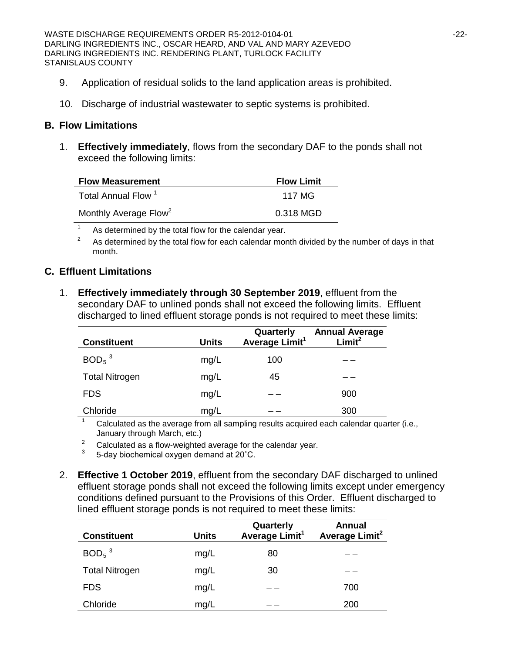- 9. Application of residual solids to the land application areas is prohibited.
- 10. Discharge of industrial wastewater to septic systems is prohibited.

#### **B. Flow Limitations**

1. **Effectively immediately**, flows from the secondary DAF to the ponds shall not exceed the following limits:

| <b>Flow Measurement</b>           | <b>Flow Limit</b> |
|-----------------------------------|-------------------|
| Total Annual Flow <sup>1</sup>    | 117 MG            |
| Monthly Average Flow <sup>2</sup> | 0.318 MGD         |

 $1$  As determined by the total flow for the calendar year.

 $2^2$  As determined by the total flow for each calendar month divided by the number of days in that month.

### **C. Effluent Limitations**

1. **Effectively immediately through 30 September 2019**, effluent from the secondary DAF to unlined ponds shall not exceed the following limits. Effluent discharged to lined effluent storage ponds is not required to meet these limits:

| <b>Constituent</b>    | <b>Units</b> | Quarterly<br>Average Limit <sup>1</sup> | <b>Annual Average</b><br>Limit <sup>2</sup> |
|-----------------------|--------------|-----------------------------------------|---------------------------------------------|
| $BOD5$ <sup>3</sup>   | mg/L         | 100                                     |                                             |
| <b>Total Nitrogen</b> | mg/L         | 45                                      |                                             |
| <b>FDS</b>            | mg/L         |                                         | 900                                         |
| Chloride              | mg/L         |                                         | 300                                         |

Calculated as the average from all sampling results acquired each calendar quarter (i.e., January through March, etc.)

<sup>2</sup> Calculated as a flow-weighted average for the calendar year.<br><sup>3</sup> 5-day biochemical oxygen demand at 20<sup>°</sup>C.

- 
- 2. **Effective 1 October 2019**, effluent from the secondary DAF discharged to unlined effluent storage ponds shall not exceed the following limits except under emergency conditions defined pursuant to the Provisions of this Order. Effluent discharged to lined effluent storage ponds is not required to meet these limits:

| <b>Constituent</b>    | <b>Units</b> | Quarterly<br>Average Limit <sup>1</sup> | <b>Annual</b><br>Average Limit <sup>2</sup> |
|-----------------------|--------------|-----------------------------------------|---------------------------------------------|
| $BOD5$ <sup>3</sup>   | mg/L         | 80                                      |                                             |
| <b>Total Nitrogen</b> | mg/L         | 30                                      |                                             |
| <b>FDS</b>            | mg/L         |                                         | 700                                         |
| Chloride              | mg/L         |                                         | 200                                         |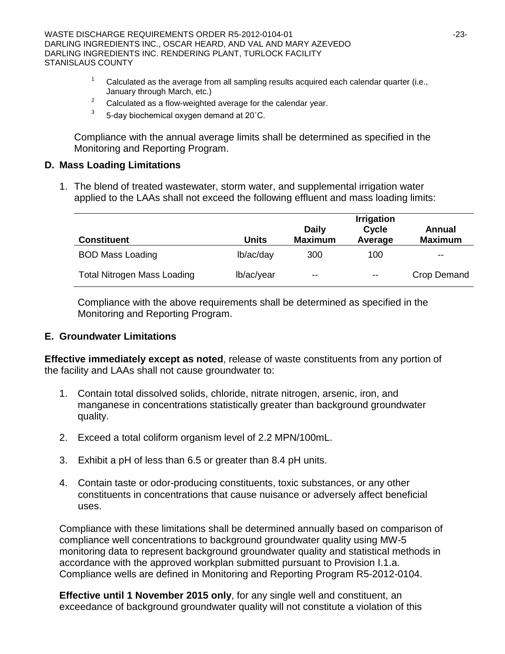- Calculated as the average from all sampling results acquired each calendar quarter (i.e., January through March, etc.)
- <sup>2</sup> Calculated as a flow-weighted average for the calendar year.<br> $\frac{3}{2}$  E day bioshamical exygen demand at 20°C
- 5-day biochemical oxygen demand at 20°C.

Compliance with the annual average limits shall be determined as specified in the Monitoring and Reporting Program.

#### **D. Mass Loading Limitations**

1. The blend of treated wastewater, storm water, and supplemental irrigation water applied to the LAAs shall not exceed the following effluent and mass loading limits:

|                                    | <b>Irrigation</b> |                                |                  |                          |  |
|------------------------------------|-------------------|--------------------------------|------------------|--------------------------|--|
| <b>Constituent</b>                 | Units             | <b>Daily</b><br><b>Maximum</b> | Cycle<br>Average | Annual<br><b>Maximum</b> |  |
| <b>BOD Mass Loading</b>            | lb/ac/day         | 300                            | 100              | $\overline{\phantom{m}}$ |  |
| <b>Total Nitrogen Mass Loading</b> | lb/ac/year        | $- -$                          | $- -$            | Crop Demand              |  |

Compliance with the above requirements shall be determined as specified in the Monitoring and Reporting Program.

#### **E. Groundwater Limitations**

**Effective immediately except as noted**, release of waste constituents from any portion of the facility and LAAs shall not cause groundwater to:

- 1. Contain total dissolved solids, chloride, nitrate nitrogen, arsenic, iron, and manganese in concentrations statistically greater than background groundwater quality.
- 2. Exceed a total coliform organism level of 2.2 MPN/100mL.
- 3. Exhibit a pH of less than 6.5 or greater than 8.4 pH units.
- 4. Contain taste or odor-producing constituents, toxic substances, or any other constituents in concentrations that cause nuisance or adversely affect beneficial uses.

Compliance with these limitations shall be determined annually based on comparison of compliance well concentrations to background groundwater quality using MW-5 monitoring data to represent background groundwater quality and statistical methods in accordance with the approved workplan submitted pursuant to Provision I.1.a. Compliance wells are defined in Monitoring and Reporting Program R5-2012-0104.

**Effective until 1 November 2015 only**, for any single well and constituent, an exceedance of background groundwater quality will not constitute a violation of this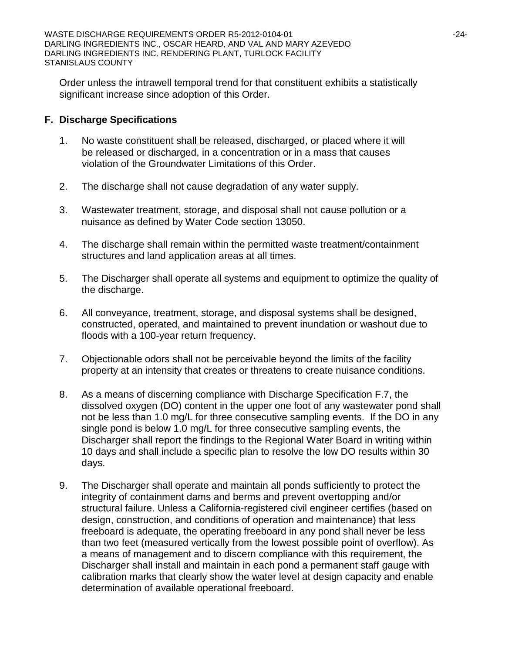Order unless the intrawell temporal trend for that constituent exhibits a statistically significant increase since adoption of this Order.

### **F. Discharge Specifications**

- 1. No waste constituent shall be released, discharged, or placed where it will be released or discharged, in a concentration or in a mass that causes violation of the Groundwater Limitations of this Order.
- 2. The discharge shall not cause degradation of any water supply.
- 3. Wastewater treatment, storage, and disposal shall not cause pollution or a nuisance as defined by Water Code section 13050.
- 4. The discharge shall remain within the permitted waste treatment/containment structures and land application areas at all times.
- 5. The Discharger shall operate all systems and equipment to optimize the quality of the discharge.
- 6. All conveyance, treatment, storage, and disposal systems shall be designed, constructed, operated, and maintained to prevent inundation or washout due to floods with a 100-year return frequency.
- 7. Objectionable odors shall not be perceivable beyond the limits of the facility property at an intensity that creates or threatens to create nuisance conditions.
- 8. As a means of discerning compliance with Discharge Specification F.7, the dissolved oxygen (DO) content in the upper one foot of any wastewater pond shall not be less than 1.0 mg/L for three consecutive sampling events. If the DO in any single pond is below 1.0 mg/L for three consecutive sampling events, the Discharger shall report the findings to the Regional Water Board in writing within 10 days and shall include a specific plan to resolve the low DO results within 30 days.
- 9. The Discharger shall operate and maintain all ponds sufficiently to protect the integrity of containment dams and berms and prevent overtopping and/or structural failure. Unless a California-registered civil engineer certifies (based on design, construction, and conditions of operation and maintenance) that less freeboard is adequate, the operating freeboard in any pond shall never be less than two feet (measured vertically from the lowest possible point of overflow). As a means of management and to discern compliance with this requirement, the Discharger shall install and maintain in each pond a permanent staff gauge with calibration marks that clearly show the water level at design capacity and enable determination of available operational freeboard.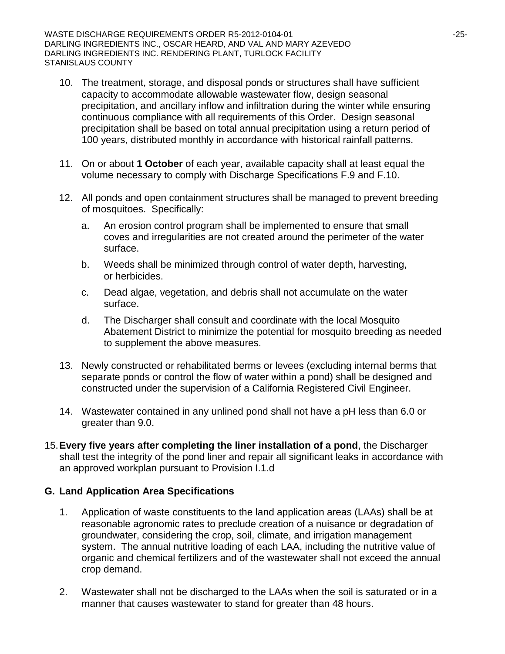WASTE DISCHARGE REQUIREMENTS ORDER R5-2012-0104-01  $-25$ -25-DARLING INGREDIENTS INC., OSCAR HEARD, AND VAL AND MARY AZEVEDO DARLING INGREDIENTS INC. RENDERING PLANT, TURLOCK FACILITY STANISLAUS COUNTY

- 10. The treatment, storage, and disposal ponds or structures shall have sufficient capacity to accommodate allowable wastewater flow, design seasonal precipitation, and ancillary inflow and infiltration during the winter while ensuring continuous compliance with all requirements of this Order. Design seasonal precipitation shall be based on total annual precipitation using a return period of 100 years, distributed monthly in accordance with historical rainfall patterns.
- 11. On or about **1 October** of each year, available capacity shall at least equal the volume necessary to comply with Discharge Specifications F.9 and F.10.
- 12. All ponds and open containment structures shall be managed to prevent breeding of mosquitoes. Specifically:
	- a. An erosion control program shall be implemented to ensure that small coves and irregularities are not created around the perimeter of the water surface.
	- b. Weeds shall be minimized through control of water depth, harvesting, or herbicides.
	- c. Dead algae, vegetation, and debris shall not accumulate on the water surface.
	- d. The Discharger shall consult and coordinate with the local Mosquito Abatement District to minimize the potential for mosquito breeding as needed to supplement the above measures.
- 13. Newly constructed or rehabilitated berms or levees (excluding internal berms that separate ponds or control the flow of water within a pond) shall be designed and constructed under the supervision of a California Registered Civil Engineer.
- 14. Wastewater contained in any unlined pond shall not have a pH less than 6.0 or greater than 9.0.
- 15.**Every five years after completing the liner installation of a pond**, the Discharger shall test the integrity of the pond liner and repair all significant leaks in accordance with an approved workplan pursuant to Provision I.1.d

#### **G. Land Application Area Specifications**

- 1. Application of waste constituents to the land application areas (LAAs) shall be at reasonable agronomic rates to preclude creation of a nuisance or degradation of groundwater, considering the crop, soil, climate, and irrigation management system. The annual nutritive loading of each LAA, including the nutritive value of organic and chemical fertilizers and of the wastewater shall not exceed the annual crop demand.
- 2. Wastewater shall not be discharged to the LAAs when the soil is saturated or in a manner that causes wastewater to stand for greater than 48 hours.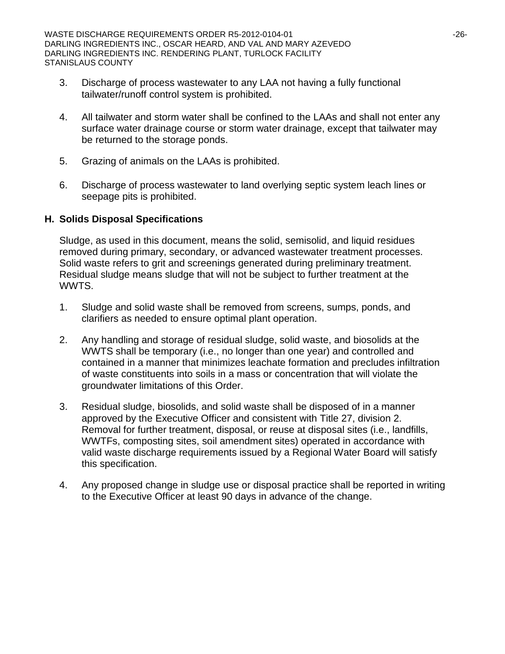- 3. Discharge of process wastewater to any LAA not having a fully functional tailwater/runoff control system is prohibited.
- 4. All tailwater and storm water shall be confined to the LAAs and shall not enter any surface water drainage course or storm water drainage, except that tailwater may be returned to the storage ponds.
- 5. Grazing of animals on the LAAs is prohibited.
- 6. Discharge of process wastewater to land overlying septic system leach lines or seepage pits is prohibited.

### **H. Solids Disposal Specifications**

Sludge, as used in this document, means the solid, semisolid, and liquid residues removed during primary, secondary, or advanced wastewater treatment processes. Solid waste refers to grit and screenings generated during preliminary treatment. Residual sludge means sludge that will not be subject to further treatment at the WWTS.

- 1. Sludge and solid waste shall be removed from screens, sumps, ponds, and clarifiers as needed to ensure optimal plant operation.
- 2. Any handling and storage of residual sludge, solid waste, and biosolids at the WWTS shall be temporary (i.e., no longer than one year) and controlled and contained in a manner that minimizes leachate formation and precludes infiltration of waste constituents into soils in a mass or concentration that will violate the groundwater limitations of this Order.
- 3. Residual sludge, biosolids, and solid waste shall be disposed of in a manner approved by the Executive Officer and consistent with Title 27, division 2. Removal for further treatment, disposal, or reuse at disposal sites (i.e., landfills, WWTFs, composting sites, soil amendment sites) operated in accordance with valid waste discharge requirements issued by a Regional Water Board will satisfy this specification.
- 4. Any proposed change in sludge use or disposal practice shall be reported in writing to the Executive Officer at least 90 days in advance of the change.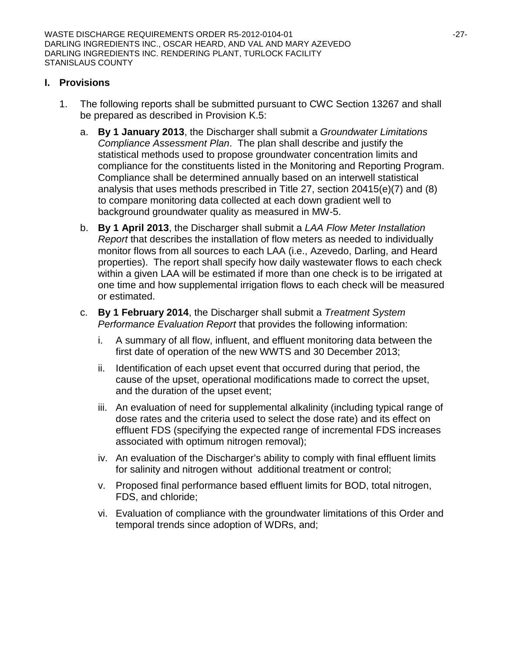## **I. Provisions**

- 1. The following reports shall be submitted pursuant to CWC Section 13267 and shall be prepared as described in Provision K.5:
	- a. **By 1 January 2013**, the Discharger shall submit a *Groundwater Limitations Compliance Assessment Plan*. The plan shall describe and justify the statistical methods used to propose groundwater concentration limits and compliance for the constituents listed in the Monitoring and Reporting Program. Compliance shall be determined annually based on an interwell statistical analysis that uses methods prescribed in Title 27, section 20415(e)(7) and (8) to compare monitoring data collected at each down gradient well to background groundwater quality as measured in MW-5.
	- b. **By 1 April 2013**, the Discharger shall submit a *LAA Flow Meter Installation Report* that describes the installation of flow meters as needed to individually monitor flows from all sources to each LAA (i.e., Azevedo, Darling, and Heard properties). The report shall specify how daily wastewater flows to each check within a given LAA will be estimated if more than one check is to be irrigated at one time and how supplemental irrigation flows to each check will be measured or estimated.
	- c. **By 1 February 2014**, the Discharger shall submit a *Treatment System Performance Evaluation Report* that provides the following information:
		- i. A summary of all flow, influent, and effluent monitoring data between the first date of operation of the new WWTS and 30 December 2013;
		- ii. Identification of each upset event that occurred during that period, the cause of the upset, operational modifications made to correct the upset, and the duration of the upset event;
		- iii. An evaluation of need for supplemental alkalinity (including typical range of dose rates and the criteria used to select the dose rate) and its effect on effluent FDS (specifying the expected range of incremental FDS increases associated with optimum nitrogen removal);
		- iv. An evaluation of the Discharger's ability to comply with final effluent limits for salinity and nitrogen without additional treatment or control;
		- v. Proposed final performance based effluent limits for BOD, total nitrogen, FDS, and chloride;
		- vi. Evaluation of compliance with the groundwater limitations of this Order and temporal trends since adoption of WDRs, and;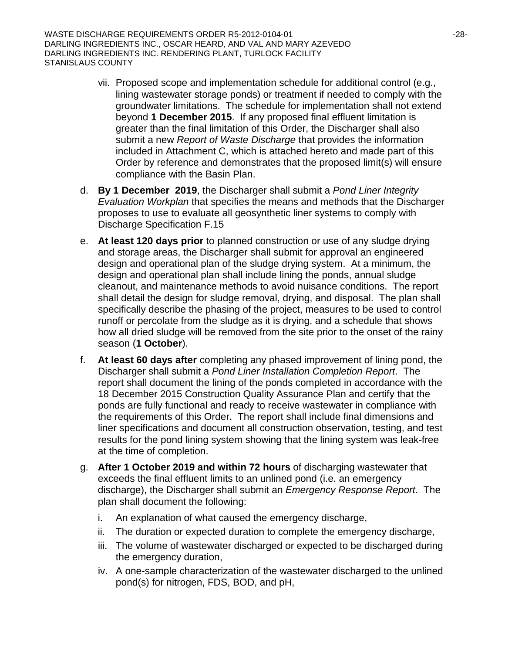WASTE DISCHARGE REQUIREMENTS ORDER R5-2012-0104-01 -28- DARLING INGREDIENTS INC., OSCAR HEARD, AND VAL AND MARY AZEVEDO DARLING INGREDIENTS INC. RENDERING PLANT, TURLOCK FACILITY STANISLAUS COUNTY

- vii. Proposed scope and implementation schedule for additional control (e.g., lining wastewater storage ponds) or treatment if needed to comply with the groundwater limitations. The schedule for implementation shall not extend beyond **1 December 2015**. If any proposed final effluent limitation is greater than the final limitation of this Order, the Discharger shall also submit a new *Report of Waste Discharge* that provides the information included in Attachment C, which is attached hereto and made part of this Order by reference and demonstrates that the proposed limit(s) will ensure compliance with the Basin Plan.
- d. **By 1 December 2019**, the Discharger shall submit a *Pond Liner Integrity Evaluation Workplan* that specifies the means and methods that the Discharger proposes to use to evaluate all geosynthetic liner systems to comply with Discharge Specification F.15
- e. **At least 120 days prior** to planned construction or use of any sludge drying and storage areas, the Discharger shall submit for approval an engineered design and operational plan of the sludge drying system. At a minimum, the design and operational plan shall include lining the ponds, annual sludge cleanout, and maintenance methods to avoid nuisance conditions. The report shall detail the design for sludge removal, drying, and disposal. The plan shall specifically describe the phasing of the project, measures to be used to control runoff or percolate from the sludge as it is drying, and a schedule that shows how all dried sludge will be removed from the site prior to the onset of the rainy season (**1 October**).
- f. **At least 60 days after** completing any phased improvement of lining pond, the Discharger shall submit a *Pond Liner Installation Completion Report*. The report shall document the lining of the ponds completed in accordance with the 18 December 2015 Construction Quality Assurance Plan and certify that the ponds are fully functional and ready to receive wastewater in compliance with the requirements of this Order. The report shall include final dimensions and liner specifications and document all construction observation, testing, and test results for the pond lining system showing that the lining system was leak-free at the time of completion.
- g. **After 1 October 2019 and within 72 hours** of discharging wastewater that exceeds the final effluent limits to an unlined pond (i.e. an emergency discharge), the Discharger shall submit an *Emergency Response Report*. The plan shall document the following:
	- i. An explanation of what caused the emergency discharge,
	- ii. The duration or expected duration to complete the emergency discharge,
	- iii. The volume of wastewater discharged or expected to be discharged during the emergency duration,
	- iv. A one-sample characterization of the wastewater discharged to the unlined pond(s) for nitrogen, FDS, BOD, and pH,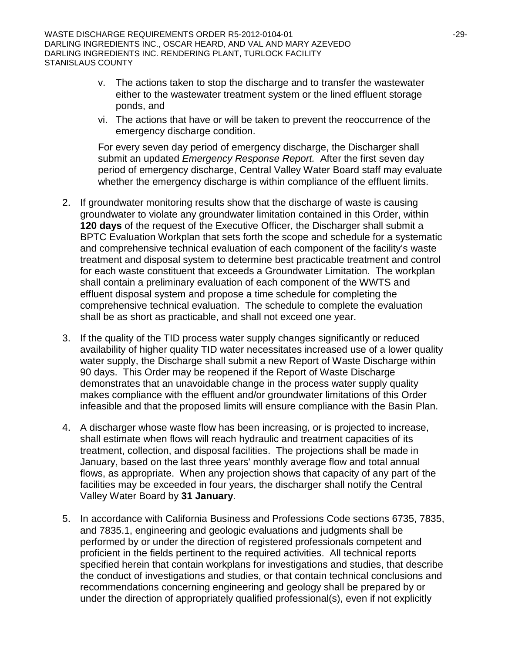- v. The actions taken to stop the discharge and to transfer the wastewater either to the wastewater treatment system or the lined effluent storage ponds, and
- vi. The actions that have or will be taken to prevent the reoccurrence of the emergency discharge condition.

For every seven day period of emergency discharge, the Discharger shall submit an updated *Emergency Response Report.* After the first seven day period of emergency discharge, Central Valley Water Board staff may evaluate whether the emergency discharge is within compliance of the effluent limits.

- 2. If groundwater monitoring results show that the discharge of waste is causing groundwater to violate any groundwater limitation contained in this Order, within **120 days** of the request of the Executive Officer, the Discharger shall submit a BPTC Evaluation Workplan that sets forth the scope and schedule for a systematic and comprehensive technical evaluation of each component of the facility's waste treatment and disposal system to determine best practicable treatment and control for each waste constituent that exceeds a Groundwater Limitation. The workplan shall contain a preliminary evaluation of each component of the WWTS and effluent disposal system and propose a time schedule for completing the comprehensive technical evaluation. The schedule to complete the evaluation shall be as short as practicable, and shall not exceed one year.
- 3. If the quality of the TID process water supply changes significantly or reduced availability of higher quality TID water necessitates increased use of a lower quality water supply, the Discharge shall submit a new Report of Waste Discharge within 90 days. This Order may be reopened if the Report of Waste Discharge demonstrates that an unavoidable change in the process water supply quality makes compliance with the effluent and/or groundwater limitations of this Order infeasible and that the proposed limits will ensure compliance with the Basin Plan.
- 4. A discharger whose waste flow has been increasing, or is projected to increase, shall estimate when flows will reach hydraulic and treatment capacities of its treatment, collection, and disposal facilities. The projections shall be made in January, based on the last three years' monthly average flow and total annual flows, as appropriate. When any projection shows that capacity of any part of the facilities may be exceeded in four years, the discharger shall notify the Central Valley Water Board by **31 January**.
- 5. In accordance with California Business and Professions Code sections 6735, 7835, and 7835.1, engineering and geologic evaluations and judgments shall be performed by or under the direction of registered professionals competent and proficient in the fields pertinent to the required activities. All technical reports specified herein that contain workplans for investigations and studies, that describe the conduct of investigations and studies, or that contain technical conclusions and recommendations concerning engineering and geology shall be prepared by or under the direction of appropriately qualified professional(s), even if not explicitly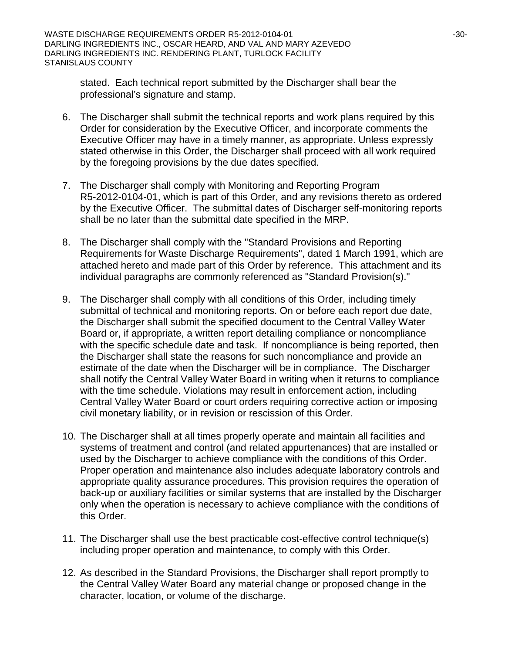stated. Each technical report submitted by the Discharger shall bear the professional's signature and stamp.

- 6. The Discharger shall submit the technical reports and work plans required by this Order for consideration by the Executive Officer, and incorporate comments the Executive Officer may have in a timely manner, as appropriate. Unless expressly stated otherwise in this Order, the Discharger shall proceed with all work required by the foregoing provisions by the due dates specified.
- 7. The Discharger shall comply with Monitoring and Reporting Program R5-2012-0104-01, which is part of this Order, and any revisions thereto as ordered by the Executive Officer. The submittal dates of Discharger self-monitoring reports shall be no later than the submittal date specified in the MRP.
- 8. The Discharger shall comply with the "Standard Provisions and Reporting Requirements for Waste Discharge Requirements", dated 1 March 1991, which are attached hereto and made part of this Order by reference. This attachment and its individual paragraphs are commonly referenced as "Standard Provision(s)."
- 9. The Discharger shall comply with all conditions of this Order, including timely submittal of technical and monitoring reports. On or before each report due date, the Discharger shall submit the specified document to the Central Valley Water Board or, if appropriate, a written report detailing compliance or noncompliance with the specific schedule date and task. If noncompliance is being reported, then the Discharger shall state the reasons for such noncompliance and provide an estimate of the date when the Discharger will be in compliance. The Discharger shall notify the Central Valley Water Board in writing when it returns to compliance with the time schedule. Violations may result in enforcement action, including Central Valley Water Board or court orders requiring corrective action or imposing civil monetary liability, or in revision or rescission of this Order.
- 10. The Discharger shall at all times properly operate and maintain all facilities and systems of treatment and control (and related appurtenances) that are installed or used by the Discharger to achieve compliance with the conditions of this Order. Proper operation and maintenance also includes adequate laboratory controls and appropriate quality assurance procedures. This provision requires the operation of back-up or auxiliary facilities or similar systems that are installed by the Discharger only when the operation is necessary to achieve compliance with the conditions of this Order.
- 11. The Discharger shall use the best practicable cost-effective control technique(s) including proper operation and maintenance, to comply with this Order.
- 12. As described in the Standard Provisions, the Discharger shall report promptly to the Central Valley Water Board any material change or proposed change in the character, location, or volume of the discharge.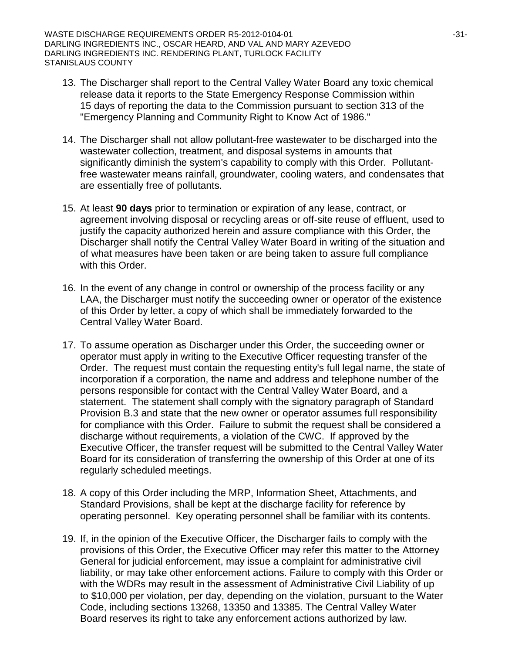- 13. The Discharger shall report to the Central Valley Water Board any toxic chemical release data it reports to the State Emergency Response Commission within 15 days of reporting the data to the Commission pursuant to section 313 of the "Emergency Planning and Community Right to Know Act of 1986."
- 14. The Discharger shall not allow pollutant-free wastewater to be discharged into the wastewater collection, treatment, and disposal systems in amounts that significantly diminish the system's capability to comply with this Order. Pollutantfree wastewater means rainfall, groundwater, cooling waters, and condensates that are essentially free of pollutants.
- 15. At least **90 days** prior to termination or expiration of any lease, contract, or agreement involving disposal or recycling areas or off-site reuse of effluent, used to justify the capacity authorized herein and assure compliance with this Order, the Discharger shall notify the Central Valley Water Board in writing of the situation and of what measures have been taken or are being taken to assure full compliance with this Order.
- 16. In the event of any change in control or ownership of the process facility or any LAA, the Discharger must notify the succeeding owner or operator of the existence of this Order by letter, a copy of which shall be immediately forwarded to the Central Valley Water Board.
- 17. To assume operation as Discharger under this Order, the succeeding owner or operator must apply in writing to the Executive Officer requesting transfer of the Order. The request must contain the requesting entity's full legal name, the state of incorporation if a corporation, the name and address and telephone number of the persons responsible for contact with the Central Valley Water Board, and a statement. The statement shall comply with the signatory paragraph of Standard Provision B.3 and state that the new owner or operator assumes full responsibility for compliance with this Order. Failure to submit the request shall be considered a discharge without requirements, a violation of the CWC. If approved by the Executive Officer, the transfer request will be submitted to the Central Valley Water Board for its consideration of transferring the ownership of this Order at one of its regularly scheduled meetings.
- 18. A copy of this Order including the MRP, Information Sheet, Attachments, and Standard Provisions, shall be kept at the discharge facility for reference by operating personnel. Key operating personnel shall be familiar with its contents.
- 19. If, in the opinion of the Executive Officer, the Discharger fails to comply with the provisions of this Order, the Executive Officer may refer this matter to the Attorney General for judicial enforcement, may issue a complaint for administrative civil liability, or may take other enforcement actions. Failure to comply with this Order or with the WDRs may result in the assessment of Administrative Civil Liability of up to \$10,000 per violation, per day, depending on the violation, pursuant to the Water Code, including sections 13268, 13350 and 13385. The Central Valley Water Board reserves its right to take any enforcement actions authorized by law.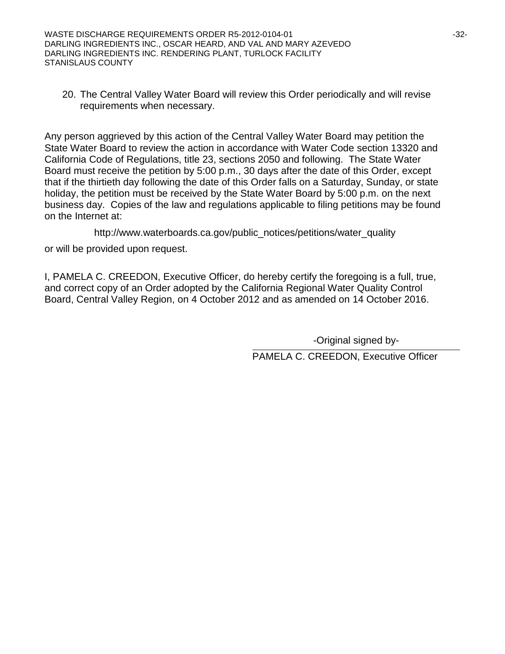WASTE DISCHARGE REQUIREMENTS ORDER R5-2012-0104-01  $-32$ -32-DARLING INGREDIENTS INC., OSCAR HEARD, AND VAL AND MARY AZEVEDO DARLING INGREDIENTS INC. RENDERING PLANT, TURLOCK FACILITY STANISLAUS COUNTY

20. The Central Valley Water Board will review this Order periodically and will revise requirements when necessary.

Any person aggrieved by this action of the Central Valley Water Board may petition the State Water Board to review the action in accordance with Water Code section 13320 and California Code of Regulations, title 23, sections 2050 and following. The State Water Board must receive the petition by 5:00 p.m., 30 days after the date of this Order, except that if the thirtieth day following the date of this Order falls on a Saturday, Sunday, or state holiday, the petition must be received by the State Water Board by 5:00 p.m. on the next business day. Copies of the law and regulations applicable to filing petitions may be found on the Internet at:

http://www.waterboards.ca.gov/public\_notices/petitions/water\_quality

or will be provided upon request.

I, PAMELA C. CREEDON, Executive Officer, do hereby certify the foregoing is a full, true, and correct copy of an Order adopted by the California Regional Water Quality Control Board, Central Valley Region, on 4 October 2012 and as amended on 14 October 2016.

-Original signed by-

PAMELA C. CREEDON, Executive Officer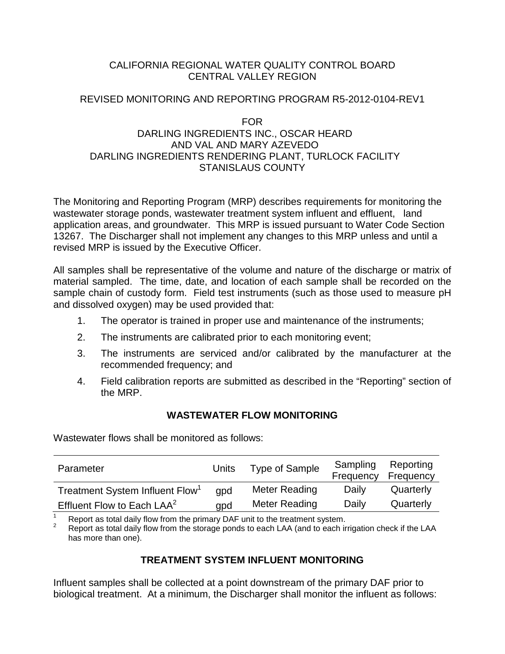### CALIFORNIA REGIONAL WATER QUALITY CONTROL BOARD CENTRAL VALLEY REGION

#### REVISED MONITORING AND REPORTING PROGRAM R5-2012-0104-REV1

#### FOR

### DARLING INGREDIENTS INC., OSCAR HEARD AND VAL AND MARY AZEVEDO DARLING INGREDIENTS RENDERING PLANT, TURLOCK FACILITY STANISLAUS COUNTY

The Monitoring and Reporting Program (MRP) describes requirements for monitoring the wastewater storage ponds, wastewater treatment system influent and effluent, land application areas, and groundwater. This MRP is issued pursuant to Water Code Section 13267. The Discharger shall not implement any changes to this MRP unless and until a revised MRP is issued by the Executive Officer.

All samples shall be representative of the volume and nature of the discharge or matrix of material sampled. The time, date, and location of each sample shall be recorded on the sample chain of custody form. Field test instruments (such as those used to measure pH and dissolved oxygen) may be used provided that:

- 1. The operator is trained in proper use and maintenance of the instruments;
- 2. The instruments are calibrated prior to each monitoring event;
- 3. The instruments are serviced and/or calibrated by the manufacturer at the recommended frequency; and
- 4. Field calibration reports are submitted as described in the "Reporting" section of the MRP.

# **WASTEWATER FLOW MONITORING**

Wastewater flows shall be monitored as follows:

| Parameter                                   | Units | <b>Type of Sample</b> | Sampling<br>Frequency | Reporting<br>Frequency |
|---------------------------------------------|-------|-----------------------|-----------------------|------------------------|
| Treatment System Influent Flow <sup>1</sup> | qpd   | Meter Reading         | Daily                 | Quarterly              |
| Effluent Flow to Each LAA <sup>2</sup>      | qpd   | Meter Reading         | Daily                 | Quarterly              |

Report as total daily flow from the primary DAF unit to the treatment system.<br>Report as total daily flow from the storage ponds to each LAA (and to each irrigation check if the LAA has more than one).

# **TREATMENT SYSTEM INFLUENT MONITORING**

Influent samples shall be collected at a point downstream of the primary DAF prior to biological treatment. At a minimum, the Discharger shall monitor the influent as follows: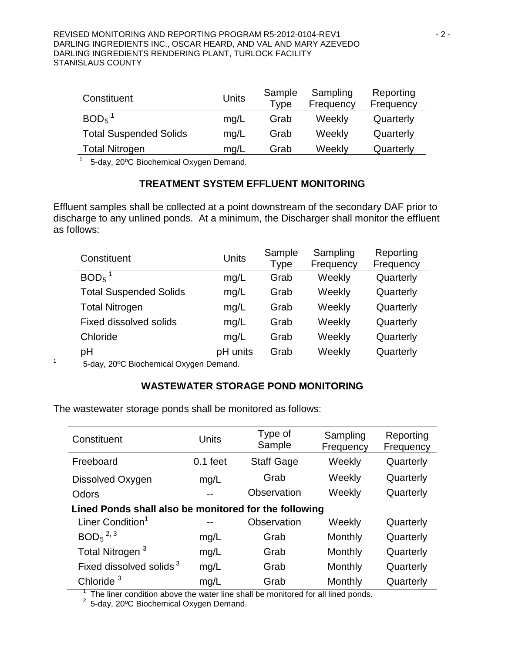| Constituent                   | Units | Sample<br>Type | Sampling<br>Frequency | Reporting<br>Frequency |
|-------------------------------|-------|----------------|-----------------------|------------------------|
| $BOD5$ <sup>1</sup>           | mg/L  | Grab           | Weekly                | Quarterly              |
| <b>Total Suspended Solids</b> | mq/L  | Grab           | Weekly                | Quarterly              |
| <b>Total Nitrogen</b>         | mq/L  | Grab           | Weekly                | Quarterly              |

 $1$  5-day, 20°C Biochemical Oxygen Demand.

### **TREATMENT SYSTEM EFFLUENT MONITORING**

Effluent samples shall be collected at a point downstream of the secondary DAF prior to discharge to any unlined ponds. At a minimum, the Discharger shall monitor the effluent as follows:

| Constituent                   | Units    | Sample<br>Type | Sampling<br>Frequency | Reporting<br>Frequency |
|-------------------------------|----------|----------------|-----------------------|------------------------|
| $BOD5$ <sup>1</sup>           | mg/L     | Grab           | Weekly                | Quarterly              |
| <b>Total Suspended Solids</b> | mg/L     | Grab           | Weekly                | Quarterly              |
| <b>Total Nitrogen</b>         | mg/L     | Grab           | Weekly                | Quarterly              |
| <b>Fixed dissolved solids</b> | mg/L     | Grab           | Weekly                | Quarterly              |
| Chloride                      | mq/L     | Grab           | Weekly                | Quarterly              |
| pH                            | pH units | Grab           | Weekly                | Quarterly              |

<sup>1</sup> 5-day, 20ºC Biochemical Oxygen Demand.

# **WASTEWATER STORAGE POND MONITORING**

The wastewater storage ponds shall be monitored as follows:

| Constituent                                           | <b>Units</b> | Type of<br>Sample                                                                                      | Sampling<br>Frequency | Reporting<br>Frequency |  |
|-------------------------------------------------------|--------------|--------------------------------------------------------------------------------------------------------|-----------------------|------------------------|--|
| Freeboard                                             | $0.1$ feet   | <b>Staff Gage</b>                                                                                      | Weekly                | Quarterly              |  |
| Dissolved Oxygen                                      | mg/L         | Grab                                                                                                   | Weekly                | Quarterly              |  |
| Odors                                                 |              | Observation                                                                                            | Weekly                | Quarterly              |  |
| Lined Ponds shall also be monitored for the following |              |                                                                                                        |                       |                        |  |
| Liner Condition <sup>1</sup>                          |              | Observation                                                                                            | Weekly                | Quarterly              |  |
| BOD <sub>5</sub> <sup>2, 3</sup>                      | mg/L         | Grab                                                                                                   | Monthly               | Quarterly              |  |
| Total Nitrogen <sup>3</sup>                           | mg/L         | Grab                                                                                                   | Monthly               | Quarterly              |  |
| Fixed dissolved solids <sup>3</sup>                   | mg/L         | Grab                                                                                                   | Monthly               | Quarterly              |  |
| Chloride <sup>3</sup><br>مرجاها والمردان والتلا       | mg/L         | Grab<br>والمتماس المستلط المسترقية المستحققة ويستمين المتاسية والمتاسية ويتناسبه والاستنساس والمقابلات | Monthly               | Quarterly              |  |

<sup>1</sup> The liner condition above the water line shall be monitored for all lined ponds.<br><sup>2</sup> 5-day, 20°C Biochemical Oxygen Demand.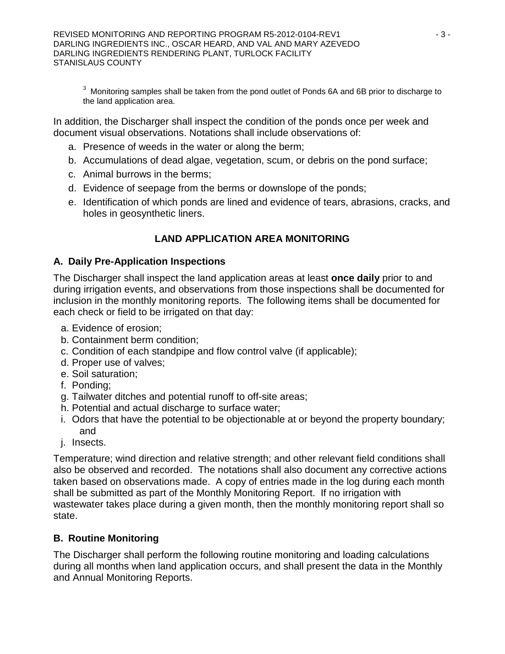REVISED MONITORING AND REPORTING PROGRAM R5-2012-0104-REV1  $-3$  - 3 -DARLING INGREDIENTS INC., OSCAR HEARD, AND VAL AND MARY AZEVEDO DARLING INGREDIENTS RENDERING PLANT, TURLOCK FACILITY STANISLAUS COUNTY

<sup>3</sup> Monitoring samples shall be taken from the pond outlet of Ponds 6A and 6B prior to discharge to the land application area.

In addition, the Discharger shall inspect the condition of the ponds once per week and document visual observations. Notations shall include observations of:

- a. Presence of weeds in the water or along the berm;
- b. Accumulations of dead algae, vegetation, scum, or debris on the pond surface;
- c. Animal burrows in the berms;
- d. Evidence of seepage from the berms or downslope of the ponds;
- e. Identification of which ponds are lined and evidence of tears, abrasions, cracks, and holes in geosynthetic liners.

# **LAND APPLICATION AREA MONITORING**

# **A. Daily Pre-Application Inspections**

The Discharger shall inspect the land application areas at least **once daily** prior to and during irrigation events, and observations from those inspections shall be documented for inclusion in the monthly monitoring reports. The following items shall be documented for each check or field to be irrigated on that day:

- a. Evidence of erosion;
- b. Containment berm condition;
- c. Condition of each standpipe and flow control valve (if applicable);
- d. Proper use of valves;
- e. Soil saturation;
- f. Ponding;
- g. Tailwater ditches and potential runoff to off-site areas;
- h. Potential and actual discharge to surface water;
- i. Odors that have the potential to be objectionable at or beyond the property boundary; and
- j. Insects.

Temperature; wind direction and relative strength; and other relevant field conditions shall also be observed and recorded. The notations shall also document any corrective actions taken based on observations made. A copy of entries made in the log during each month shall be submitted as part of the Monthly Monitoring Report. If no irrigation with wastewater takes place during a given month, then the monthly monitoring report shall so state.

# **B. Routine Monitoring**

The Discharger shall perform the following routine monitoring and loading calculations during all months when land application occurs, and shall present the data in the Monthly and Annual Monitoring Reports.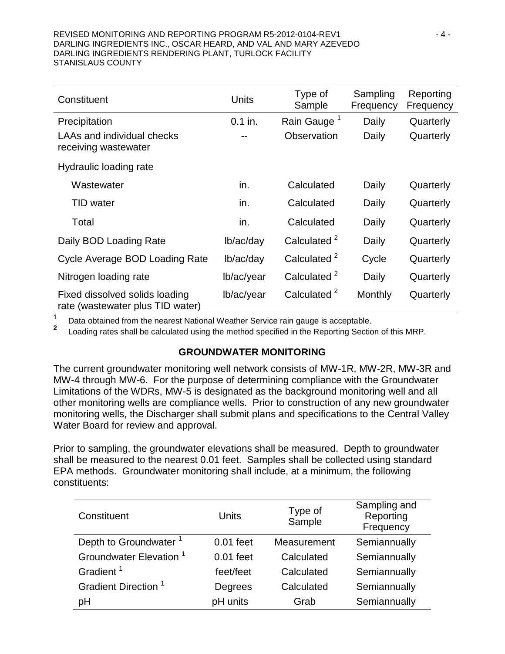#### REVISED MONITORING AND REPORTING PROGRAM R5-2012-0104-REV1  $-4 -$ DARLING INGREDIENTS INC., OSCAR HEARD, AND VAL AND MARY AZEVEDO DARLING INGREDIENTS RENDERING PLANT, TURLOCK FACILITY STANISLAUS COUNTY

| Constituent                                                        | <b>Units</b> | Type of<br>Sample       | Sampling<br>Frequency | Reporting<br>Frequency |
|--------------------------------------------------------------------|--------------|-------------------------|-----------------------|------------------------|
| Precipitation                                                      | $0.1$ in.    | Rain Gauge <sup>1</sup> | Daily                 | Quarterly              |
| <b>LAAs and individual checks</b><br>receiving wastewater          |              | Observation             | Daily                 | Quarterly              |
| Hydraulic loading rate                                             |              |                         |                       |                        |
| Wastewater                                                         | in.          | Calculated              | Daily                 | Quarterly              |
| TID water                                                          | in.          | Calculated              | Daily                 | Quarterly              |
| Total                                                              | in.          | Calculated              | Daily                 | Quarterly              |
| Daily BOD Loading Rate                                             | lb/ac/day    | Calculated <sup>2</sup> | Daily                 | Quarterly              |
| Cycle Average BOD Loading Rate                                     | lb/ac/day    | Calculated <sup>2</sup> | Cycle                 | Quarterly              |
| Nitrogen loading rate                                              | lb/ac/year   | Calculated <sup>2</sup> | Daily                 | Quarterly              |
| Fixed dissolved solids loading<br>rate (wastewater plus TID water) | lb/ac/year   | Calculated <sup>2</sup> | Monthly               | Quarterly              |

1 Data obtained from the nearest National Weather Service rain gauge is acceptable.<br>**2** Loading rates shall be calculated using the method specified in the Reporting Section of this MRP.

#### **GROUNDWATER MONITORING**

The current groundwater monitoring well network consists of MW-1R, MW-2R, MW-3R and MW-4 through MW-6. For the purpose of determining compliance with the Groundwater Limitations of the WDRs, MW-5 is designated as the background monitoring well and all other monitoring wells are compliance wells. Prior to construction of any new groundwater monitoring wells, the Discharger shall submit plans and specifications to the Central Valley Water Board for review and approval.

Prior to sampling, the groundwater elevations shall be measured. Depth to groundwater shall be measured to the nearest 0.01 feet. Samples shall be collected using standard EPA methods. Groundwater monitoring shall include, at a minimum, the following constituents:

| Constituent                        | <b>Units</b> | Type of<br>Sample | Sampling and<br>Reporting<br>Frequency |
|------------------------------------|--------------|-------------------|----------------------------------------|
| Depth to Groundwater <sup>1</sup>  | $0.01$ feet  | Measurement       | Semiannually                           |
| Groundwater Elevation <sup>1</sup> | $0.01$ feet  | Calculated        | Semiannually                           |
| Gradient <sup>1</sup>              | feet/feet    | Calculated        | Semiannually                           |
| Gradient Direction <sup>1</sup>    | Degrees      | Calculated        | Semiannually                           |
| рH                                 | pH units     | Grab              | Semiannually                           |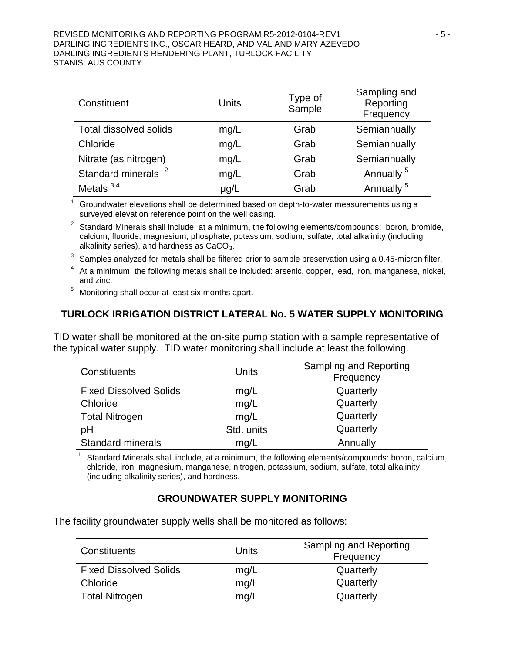#### REVISED MONITORING AND REPORTING PROGRAM R5-2012-0104-REV1  $-5$  -DARLING INGREDIENTS INC., OSCAR HEARD, AND VAL AND MARY AZEVEDO DARLING INGREDIENTS RENDERING PLANT, TURLOCK FACILITY STANISLAUS COUNTY

| Constituent                    | Units     | Type of<br>Sample | Sampling and<br>Reporting<br>Frequency |
|--------------------------------|-----------|-------------------|----------------------------------------|
| Total dissolved solids         | mg/L      | Grab              | Semiannually                           |
| Chloride                       | mg/L      | Grab              | Semiannually                           |
| Nitrate (as nitrogen)          | mg/L      | Grab              | Semiannually                           |
| Standard minerals <sup>2</sup> | mg/L      | Grab              | Annually <sup>5</sup>                  |
| Metals $3,4$                   | $\mu$ g/L | Grab              | Annually <sup>5</sup>                  |

 $1$  Groundwater elevations shall be determined based on depth-to-water measurements using a surveyed elevation reference point on the well casing.

Standard Minerals shall include, at a minimum, the following elements/compounds: boron, bromide, calcium, fluoride, magnesium, phosphate, potassium, sodium, sulfate, total alkalinity (including alkalinity series), and hardness as  $CaCO<sub>3</sub>$ .

 $3$  Samples analyzed for metals shall be filtered prior to sample preservation using a 0.45-micron filter.

<sup>4</sup> At a minimum, the following metals shall be included: arsenic, copper, lead, iron, manganese, nickel, and zinc.

<sup>5</sup> Monitoring shall occur at least six months apart.

# **TURLOCK IRRIGATION DISTRICT LATERAL No. 5 WATER SUPPLY MONITORING**

TID water shall be monitored at the on-site pump station with a sample representative of the typical water supply. TID water monitoring shall include at least the following.

| <b>Constituents</b>           | Units      | Sampling and Reporting<br>Frequency |
|-------------------------------|------------|-------------------------------------|
| <b>Fixed Dissolved Solids</b> | mg/L       | Quarterly                           |
| Chloride                      | mg/L       | Quarterly                           |
| <b>Total Nitrogen</b>         | mg/L       | Quarterly                           |
| pH                            | Std. units | Quarterly                           |
| <b>Standard minerals</b>      | mq/L       | Annually                            |

Standard Minerals shall include, at a minimum, the following elements/compounds: boron, calcium, chloride, iron, magnesium, manganese, nitrogen, potassium, sodium, sulfate, total alkalinity (including alkalinity series), and hardness.

#### **GROUNDWATER SUPPLY MONITORING**

The facility groundwater supply wells shall be monitored as follows:

| <b>Constituents</b>           | Units | Sampling and Reporting<br>Frequency |
|-------------------------------|-------|-------------------------------------|
| <b>Fixed Dissolved Solids</b> | mg/L  | Quarterly                           |
| Chloride                      | mg/L  | Quarterly                           |
| <b>Total Nitrogen</b>         | mq/L  | Quarterly                           |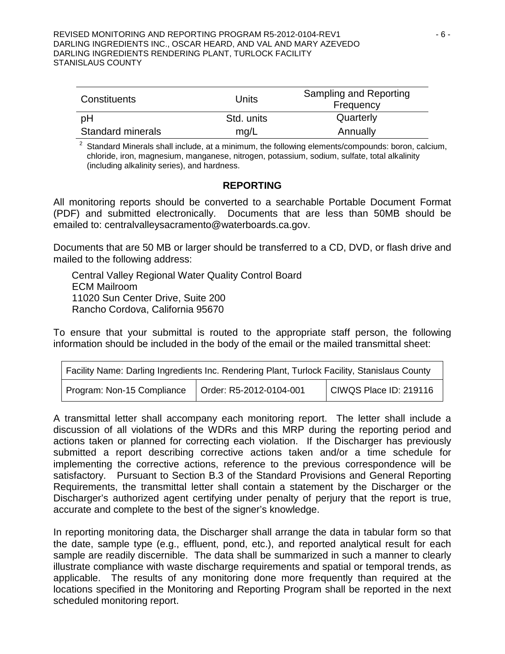| Constituents             | Units      | Sampling and Reporting<br>Frequency |
|--------------------------|------------|-------------------------------------|
| pH                       | Std. units | Quarterly                           |
| <b>Standard minerals</b> | mq/L       | Annually                            |

 $2$  Standard Minerals shall include, at a minimum, the following elements/compounds: boron, calcium, chloride, iron, magnesium, manganese, nitrogen, potassium, sodium, sulfate, total alkalinity (including alkalinity series), and hardness.

#### **REPORTING**

All monitoring reports should be converted to a searchable Portable Document Format (PDF) and submitted electronically. Documents that are less than 50MB should be emailed to: centralvalleysacramento@waterboards.ca.gov.

Documents that are 50 MB or larger should be transferred to a CD, DVD, or flash drive and mailed to the following address:

Central Valley Regional Water Quality Control Board ECM Mailroom 11020 Sun Center Drive, Suite 200 Rancho Cordova, California 95670

To ensure that your submittal is routed to the appropriate staff person, the following information should be included in the body of the email or the mailed transmittal sheet:

| Facility Name: Darling Ingredients Inc. Rendering Plant, Turlock Facility, Stanislaus County |                         |                        |  |
|----------------------------------------------------------------------------------------------|-------------------------|------------------------|--|
| Program: Non-15 Compliance                                                                   | Order: R5-2012-0104-001 | CIWQS Place ID: 219116 |  |

A transmittal letter shall accompany each monitoring report. The letter shall include a discussion of all violations of the WDRs and this MRP during the reporting period and actions taken or planned for correcting each violation. If the Discharger has previously submitted a report describing corrective actions taken and/or a time schedule for implementing the corrective actions, reference to the previous correspondence will be satisfactory. Pursuant to Section B.3 of the Standard Provisions and General Reporting Requirements, the transmittal letter shall contain a statement by the Discharger or the Discharger's authorized agent certifying under penalty of perjury that the report is true, accurate and complete to the best of the signer's knowledge.

In reporting monitoring data, the Discharger shall arrange the data in tabular form so that the date, sample type (e.g., effluent, pond, etc.), and reported analytical result for each sample are readily discernible. The data shall be summarized in such a manner to clearly illustrate compliance with waste discharge requirements and spatial or temporal trends, as applicable. The results of any monitoring done more frequently than required at the locations specified in the Monitoring and Reporting Program shall be reported in the next scheduled monitoring report.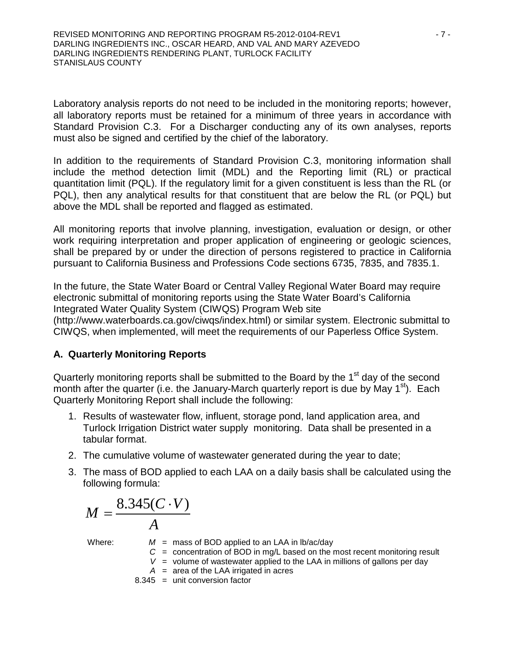Laboratory analysis reports do not need to be included in the monitoring reports; however, all laboratory reports must be retained for a minimum of three years in accordance with Standard Provision C.3. For a Discharger conducting any of its own analyses, reports must also be signed and certified by the chief of the laboratory.

In addition to the requirements of Standard Provision C.3, monitoring information shall include the method detection limit (MDL) and the Reporting limit (RL) or practical quantitation limit (PQL). If the regulatory limit for a given constituent is less than the RL (or PQL), then any analytical results for that constituent that are below the RL (or PQL) but above the MDL shall be reported and flagged as estimated.

All monitoring reports that involve planning, investigation, evaluation or design, or other work requiring interpretation and proper application of engineering or geologic sciences, shall be prepared by or under the direction of persons registered to practice in California pursuant to California Business and Professions Code sections 6735, 7835, and 7835.1.

In the future, the State Water Board or Central Valley Regional Water Board may require electronic submittal of monitoring reports using the State Water Board's California Integrated Water Quality System (CIWQS) Program Web site (http://www.waterboards.ca.gov/ciwqs/index.html) or similar system. Electronic submittal to CIWQS, when implemented, will meet the requirements of our Paperless Office System.

#### **A. Quarterly Monitoring Reports**

Quarterly monitoring reports shall be submitted to the Board by the 1<sup>st</sup> day of the second month after the quarter (i.e. the January-March quarterly report is due by May  $1<sup>st</sup>$ ). Each Quarterly Monitoring Report shall include the following:

- 1. Results of wastewater flow, influent, storage pond, land application area, and Turlock Irrigation District water supply monitoring. Data shall be presented in a tabular format.
- 2. The cumulative volume of wastewater generated during the year to date;
- 3. The mass of BOD applied to each LAA on a daily basis shall be calculated using the following formula:

$$
M = \frac{8.345(C \cdot V)}{A}
$$

- Where:  $M =$  mass of BOD applied to an LAA in lb/ac/day
	- *C* = concentration of BOD in mg/L based on the most recent monitoring result
	- $V =$  volume of wastewater applied to the LAA in millions of gallons per day
	- $A =$  area of the LAA irrigated in acres 8.345 = unit conversion factor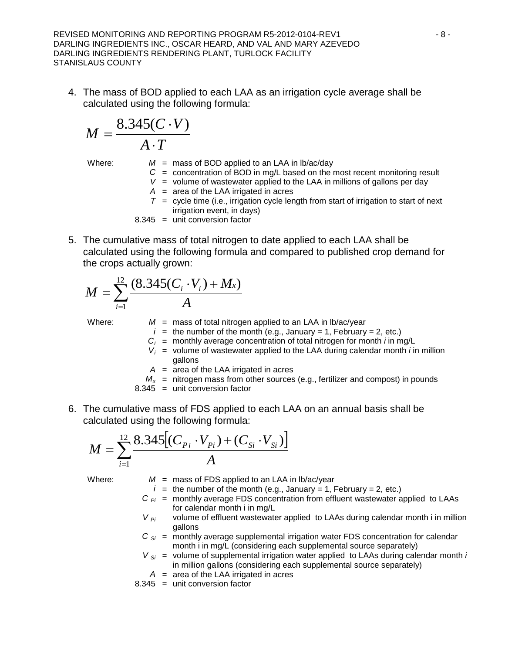REVISED MONITORING AND REPORTING PROGRAM R5-2012-0104-REV1  $-8$  -DARLING INGREDIENTS INC., OSCAR HEARD, AND VAL AND MARY AZEVEDO DARLING INGREDIENTS RENDERING PLANT, TURLOCK FACILITY STANISLAUS COUNTY

4. The mass of BOD applied to each LAA as an irrigation cycle average shall be calculated using the following formula:

$$
M = \frac{8.345(C \cdot V)}{A \cdot T}
$$

Where:  $M =$  mass of BOD applied to an LAA in lb/ac/day

- *C* = concentration of BOD in mg/L based on the most recent monitoring result
- $V =$  volume of wastewater applied to the LAA in millions of gallons per day
- *A* = area of the LAA irrigated in acres
- $T =$  cycle time (i.e., irrigation cycle length from start of irrigation to start of next irrigation event, in days)

8.345 = unit conversion factor

5. The cumulative mass of total nitrogen to date applied to each LAA shall be calculated using the following formula and compared to published crop demand for the crops actually grown:

$$
M = \sum_{i=1}^{12} \frac{(8.345(C_i \cdot V_i) + M_x)}{A}
$$

Where:  $M =$  mass of total nitrogen applied to an LAA in lb/ac/year

- $i =$  the number of the month (e.g., January = 1, February = 2, etc.)
- $C_i$  = monthly average concentration of total nitrogen for month *i* in mg/L
- $V_i$  = volume of wastewater applied to the LAA during calendar month *i* in million gallons
- *A* = area of the LAA irrigated in acres
- $M_x$  = nitrogen mass from other sources (e.g., fertilizer and compost) in pounds
- 8.345 = unit conversion factor
- 6. The cumulative mass of FDS applied to each LAA on an annual basis shall be calculated using the following formula:

$$
M = \sum_{i=1}^{12} \frac{8.345[(C_{P_i} \cdot V_{P_i}) + (C_{Si} \cdot V_{Si})]}{A}
$$

Where:  $M =$  mass of FDS applied to an LAA in lb/ac/year

- $i =$  the number of the month (e.g., January = 1, February = 2, etc.)
- $C_{pi}$  = monthly average FDS concentration from effluent wastewater applied to LAAs for calendar month i in mg/L
- $V_{pi}$  volume of effluent wastewater applied to LAAs during calendar month i in million gallons
- $C_{Si}$  = monthly average supplemental irrigation water FDS concentration for calendar month i in mg/L (considering each supplemental source separately)
- $V_{Si}$  = volume of supplemental irrigation water applied to LAAs during calendar month *i* in million gallons (considering each supplemental source separately)
- *A* = area of the LAA irrigated in acres
- 8.345 = unit conversion factor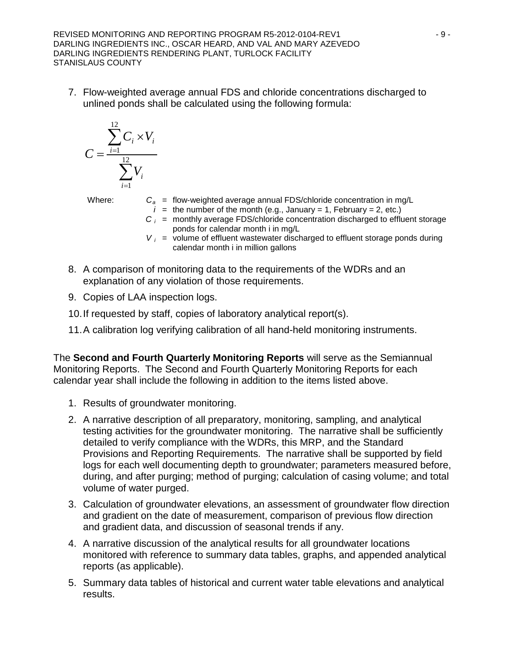REVISED MONITORING AND REPORTING PROGRAM R5-2012-0104-REV1  $-9 -$ DARLING INGREDIENTS INC., OSCAR HEARD, AND VAL AND MARY AZEVEDO DARLING INGREDIENTS RENDERING PLANT, TURLOCK FACILITY STANISLAUS COUNTY

7. Flow-weighted average annual FDS and chloride concentrations discharged to unlined ponds shall be calculated using the following formula:

$$
C = \frac{\sum_{i=1}^{12} C_i \times V_i}{\sum_{i=1}^{12} V_i}
$$

- Where:  $C_a$  = flow-weighted average annual FDS/chloride concentration in mg/L
	- $i =$  the number of the month (e.g., January = 1, February = 2, etc.)
	- $C_i$  = monthly average FDS/chloride concentration discharged to effluent storage ponds for calendar month i in mg/L
	- $V_i$  = volume of effluent wastewater discharged to effluent storage ponds during calendar month i in million gallons
- 8. A comparison of monitoring data to the requirements of the WDRs and an explanation of any violation of those requirements.
- 9. Copies of LAA inspection logs.
- 10.If requested by staff, copies of laboratory analytical report(s).
- 11.A calibration log verifying calibration of all hand-held monitoring instruments.

The **Second and Fourth Quarterly Monitoring Reports** will serve as the Semiannual Monitoring Reports. The Second and Fourth Quarterly Monitoring Reports for each calendar year shall include the following in addition to the items listed above.

- 1. Results of groundwater monitoring.
- 2. A narrative description of all preparatory, monitoring, sampling, and analytical testing activities for the groundwater monitoring. The narrative shall be sufficiently detailed to verify compliance with the WDRs, this MRP, and the Standard Provisions and Reporting Requirements. The narrative shall be supported by field logs for each well documenting depth to groundwater; parameters measured before, during, and after purging; method of purging; calculation of casing volume; and total volume of water purged.
- 3. Calculation of groundwater elevations, an assessment of groundwater flow direction and gradient on the date of measurement, comparison of previous flow direction and gradient data, and discussion of seasonal trends if any.
- 4. A narrative discussion of the analytical results for all groundwater locations monitored with reference to summary data tables, graphs, and appended analytical reports (as applicable).
- 5. Summary data tables of historical and current water table elevations and analytical results.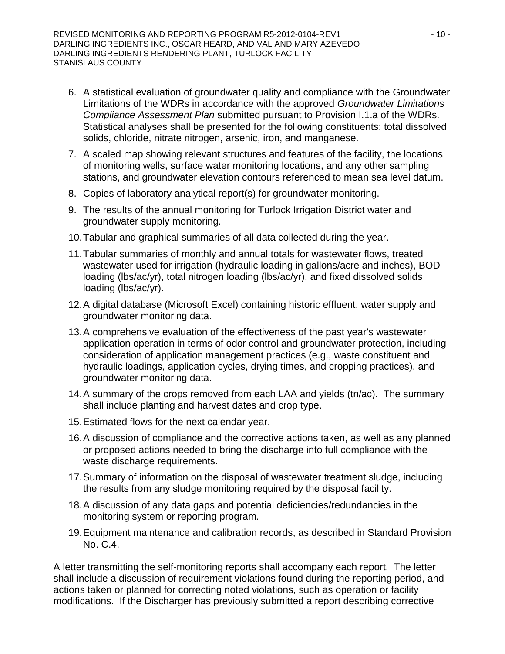- 6. A statistical evaluation of groundwater quality and compliance with the Groundwater Limitations of the WDRs in accordance with the approved *Groundwater Limitations Compliance Assessment Plan* submitted pursuant to Provision I.1.a of the WDRs. Statistical analyses shall be presented for the following constituents: total dissolved solids, chloride, nitrate nitrogen, arsenic, iron, and manganese.
- 7. A scaled map showing relevant structures and features of the facility, the locations of monitoring wells, surface water monitoring locations, and any other sampling stations, and groundwater elevation contours referenced to mean sea level datum.
- 8. Copies of laboratory analytical report(s) for groundwater monitoring.
- 9. The results of the annual monitoring for Turlock Irrigation District water and groundwater supply monitoring.
- 10.Tabular and graphical summaries of all data collected during the year.
- 11.Tabular summaries of monthly and annual totals for wastewater flows, treated wastewater used for irrigation (hydraulic loading in gallons/acre and inches), BOD loading (lbs/ac/yr), total nitrogen loading (lbs/ac/yr), and fixed dissolved solids loading (lbs/ac/yr).
- 12.A digital database (Microsoft Excel) containing historic effluent, water supply and groundwater monitoring data.
- 13.A comprehensive evaluation of the effectiveness of the past year's wastewater application operation in terms of odor control and groundwater protection, including consideration of application management practices (e.g., waste constituent and hydraulic loadings, application cycles, drying times, and cropping practices), and groundwater monitoring data.
- 14.A summary of the crops removed from each LAA and yields (tn/ac). The summary shall include planting and harvest dates and crop type.
- 15.Estimated flows for the next calendar year.
- 16.A discussion of compliance and the corrective actions taken, as well as any planned or proposed actions needed to bring the discharge into full compliance with the waste discharge requirements.
- 17.Summary of information on the disposal of wastewater treatment sludge, including the results from any sludge monitoring required by the disposal facility.
- 18.A discussion of any data gaps and potential deficiencies/redundancies in the monitoring system or reporting program.
- 19.Equipment maintenance and calibration records, as described in Standard Provision No. C.4.

A letter transmitting the self-monitoring reports shall accompany each report. The letter shall include a discussion of requirement violations found during the reporting period, and actions taken or planned for correcting noted violations, such as operation or facility modifications. If the Discharger has previously submitted a report describing corrective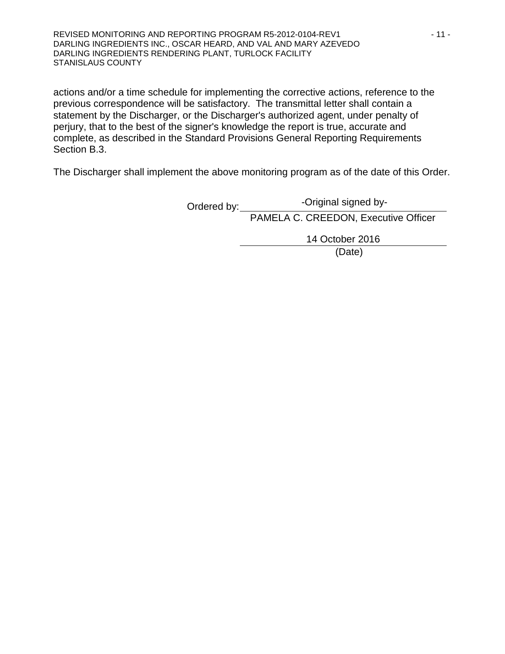REVISED MONITORING AND REPORTING PROGRAM R5-2012-0104-REV1 - 11 - 11 -DARLING INGREDIENTS INC., OSCAR HEARD, AND VAL AND MARY AZEVEDO DARLING INGREDIENTS RENDERING PLANT, TURLOCK FACILITY STANISLAUS COUNTY

actions and/or a time schedule for implementing the corrective actions, reference to the previous correspondence will be satisfactory. The transmittal letter shall contain a statement by the Discharger, or the Discharger's authorized agent, under penalty of perjury, that to the best of the signer's knowledge the report is true, accurate and complete, as described in the Standard Provisions General Reporting Requirements Section B.3.

The Discharger shall implement the above monitoring program as of the date of this Order.

Ordered by: PAMELA C. CREEDON, Executive Officer -Original signed by-

14 October 2016

(Date)